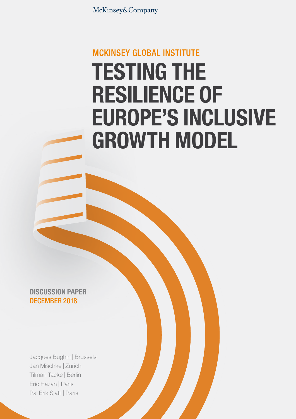McKinsey&Company

# **MCKINSEY GLOBAL INSTITUTE** TESTING THE RESILIENCE OF EUROPE'S INCLUSIVE GROWTH MODEL

DISCUSSION PAPER DECEMBER 2018

Jacques Bughin | Brussels Jan Mischke | Zurich Tilman Tacke | Berlin Eric Hazan | Paris Pal Erik Sjatil | Paris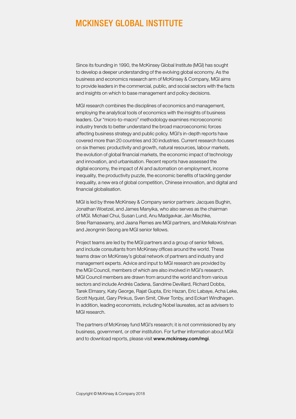# **MCKINSEY GLOBAL INSTITUTE**

Since its founding in 1990, the McKinsey Global Institute (MGI) has sought to develop a deeper understanding of the evolving global economy. As the business and economics research arm of McKinsey & Company, MGI aims to provide leaders in the commercial, public, and social sectors with the facts and insights on which to base management and policy decisions.

MGI research combines the disciplines of economics and management, employing the analytical tools of economics with the insights of business leaders. Our "micro-to-macro" methodology examines microeconomic industry trends to better understand the broad macroeconomic forces affecting business strategy and public policy. MGI's in-depth reports have covered more than 20 countries and 30 industries. Current research focuses on six themes: productivity and growth, natural resources, labour markets, the evolution of global financial markets, the economic impact of technology and innovation, and urbanisation. Recent reports have assessed the digital economy, the impact of AI and automation on employment, income inequality, the productivity puzzle, the economic benefits of tackling gender inequality, a new era of global competition, Chinese innovation, and digital and financial globalisation.

MGI is led by three McKinsey & Company senior partners: Jacques Bughin, Jonathan Woetzel, and James Manyika, who also serves as the chairman of MGI. Michael Chui, Susan Lund, Anu Madgavkar, Jan Mischke, Sree Ramaswamy, and Jaana Remes are MGI partners, and Mekala Krishnan and Jeongmin Seong are MGI senior fellows.

Project teams are led by the MGI partners and a group of senior fellows, and include consultants from McKinsey offices around the world. These teams draw on McKinsey's global network of partners and industry and management experts. Advice and input to MGI research are provided by the MGI Council, members of which are also involved in MGI's research. MGI Council members are drawn from around the world and from various sectors and include Andrés Cadena, Sandrine Devillard, Richard Dobbs, Tarek Elmasry, Katy George, Rajat Gupta, Eric Hazan, Eric Labaye, Acha Leke, Scott Nyquist, Gary Pinkus, Sven Smit, Oliver Tonby, and Eckart Windhagen. In addition, leading economists, including Nobel laureates, act as advisers to MGI research.

The partners of McKinsey fund MGI's research; it is not commissioned by any business, government, or other institution. For further information about MGI and to download reports, please visit [www.mckinsey.com/mgi](http://www.mckinsey.com/mgi).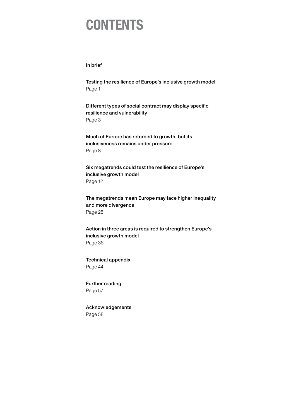# **CONTENTS**

In [brief](#page-3-0)

[Testing the resilience of Europe's inclusive growth model](#page-4-0) [Page 1](#page-4-0)

[Different types of social contract may display specific](#page-6-0)  [resilience and vulnerability](#page-6-0) [Page 3](#page-6-0)

[Much of Europe has returned to growth, but its](#page-11-0)  [inclusiveness remains under pressure](#page-11-0) [Page 8](#page-11-0)

[Six megatrends could test the resilience of Europe's](#page-15-0)  [inclusive growth model](#page-15-0) [Page 12](#page-15-0)

[The megatrends mean Europe may face higher inequality](#page-31-0)  [and more divergence](#page-31-0) [Page 28](#page-31-0)

[Action in three areas is required to strengthen Europe's](#page-39-0)  [inclusive growth model](#page-39-0) [Page 36](#page-39-0)

[Technical appendix](#page-47-0) [Page 44](#page-47-0)

[Further reading](#page-60-0) [Page 57](#page-60-0)

[Acknowledgements](#page-61-0) [Page 58](#page-61-0)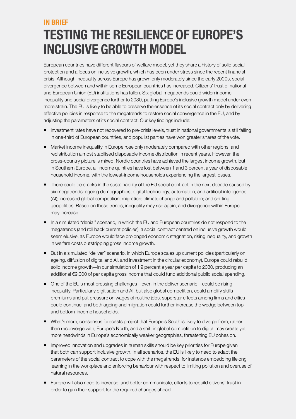# <span id="page-3-0"></span>IN BRIEF TESTING THE RESILIENCE OF EUROPE'S INCLUSIVE GROWTH MODEL

European countries have different flavours of welfare model, yet they share a history of solid social protection and a focus on inclusive growth, which has been under stress since the recent financial crisis. Although inequality across Europe has grown only moderately since the early 2000s, social divergence between and within some European countries has increased. Citizens' trust of national and European Union (EU) institutions has fallen. Six global megatrends could widen income inequality and social divergence further to 2030, putting Europe's inclusive growth model under even more strain. The EU is likely to be able to preserve the essence of its social contract only by delivering effective policies in response to the megatrends to restore social convergence in the EU, and by adjusting the parameters of its social contract. Our key findings include:

- Investment rates have not recovered to pre-crisis levels, trust in national governments is still falling in one-third of European countries, and populist parties have won greater shares of the vote.
- Market income inequality in Europe rose only moderately compared with other regions, and redistribution almost stabilised disposable income distribution in recent years. However, the cross-country picture is mixed. Nordic countries have achieved the largest income growth, but in Southern Europe, all income quintiles have lost between 1 and 3 percent a year of disposable household income, with the lowest-income households experiencing the largest losses.
- There could be cracks in the sustainability of the EU social contract in the next decade caused by six megatrends: ageing demographics; digital technology, automation, and artificial intelligence (AI); increased global competition; migration; climate change and pollution; and shifting geopolitics. Based on these trends, inequality may rise again, and divergence within Europe may increase.
- In a simulated "denial" scenario, in which the EU and European countries do not respond to the megatrends (and roll back current policies), a social contract centred on inclusive growth would seem elusive, as Europe would face prolonged economic stagnation, rising inequality, and growth in welfare costs outstripping gross income growth.
- But in a simulated "deliver" scenario, in which Europe scales up current policies (particularly on ageing, diffusion of digital and AI, and investment in the circular economy), Europe could rebuild solid income growth—in our simulation of 1.9 percent a year per capita to 2030, producing an additional €9,000 of per capita gross income that could fund additional public social spending.
- One of the EU's most pressing challenges—even in the deliver scenario—could be rising inequality. Particularly digitisation and AI, but also global competition, could amplify skills premiums and put pressure on wages of routine jobs, superstar effects among firms and cities could continue, and both ageing and migration could further increase the wedge between topand bottom-income households.
- What's more, consensus forecasts project that Europe's South is likely to diverge from, rather than reconverge with, Europe's North, and a shift in global competition to digital may create yet more headwinds in Europe's economically weaker geographies, threatening EU cohesion.
- **Improved innovation and upgrades in human skills should be key priorities for Europe given** that both can support inclusive growth. In all scenarios, the EU is likely to need to adapt the parameters of the social contract to cope with the megatrends, for instance embedding lifelong learning in the workplace and enforcing behaviour with respect to limiting pollution and overuse of natural resources.
- Europe will also need to increase, and better communicate, efforts to rebuild citizens' trust in order to gain their support for the required changes ahead.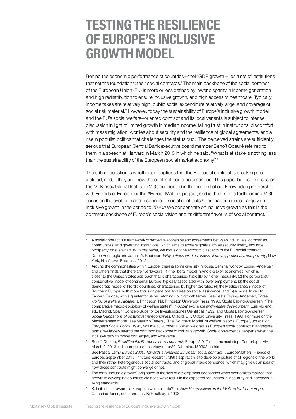# <span id="page-4-0"></span>TESTING THE RESILIENCE OF EUROPE'S INCLUSIVE GROWTH MODEL

Behind the economic performance of countries—their GDP growth—lies a set of institutions that set the foundations: their social contracts.1 The main backbone of the social contract of the European Union (EU) is more or less defined by lower disparity in income generation and high redistribution to ensure inclusive growth, and high access to healthcare. Typically, income taxes are relatively high, public social expenditure relatively large, and coverage of social risk material.<sup>2</sup> However, today the sustainability of Europe's inclusive growth model and the EU's social welfare–oriented contract and its local variants is subject to intense discussion in light of limited growth in median income, falling trust in institutions, discomfort with mass migration, worries about security and the resilience of global agreements, and a rise in populist politics that challenges the status quo.<sup>3</sup> The perceived strains are sufficiently serious that European Central Bank executive board member Benoît Coeuré referred to them in a speech at Harvard in March 2013 in which he said, "What is at stake is nothing less than the sustainability of the European social market economy".4

The critical question is whether perceptions that the EU social contract is breaking are justified, and, if they are, how the contract could be amended. This paper builds on research the McKinsey Global Institute (MGI) conducted in the context of our knowledge partnership with Friends of Europe for the #EuropeMatters project, and is the first in a forthcoming MGI series on the evolution and resilience of social contracts.<sup>5</sup> This paper focuses largely on inclusive growth in the period to  $2030.^{\rm 6}$  We concentrate on inclusive growth as this is the common backbone of Europe's social vision and its different flavours of social contract.<sup>7</sup>

<sup>4</sup> Benoît Coeuré, *Revisiting the European social contract*, Europe 2.0: Taking the next step, Cambridge, MA, March 2, 2013, ecb.europa.eu/press/key/date/2013/html/sp130302.en.html.

<sup>1</sup> A social contract is a framework of settled relationships and agreements between individuals, companies, communities, and governing institutions, which aims to achieve goals such as security, liberty, inclusive prosperity, or sustainability. In this paper, we focus on the economic aspects of the EU social contract.

<sup>2</sup> Daron Acemoglu and James A. Robinson, *Why nations fail: The origins of power, prosperity, and poverty*, New York, NY: Crown Business, 2012.

Around the commonalities within Europe, there is some diversity in focus. Seminal work by Esping-Andersen and others finds that there are five flavours: (1) the liberal model in Anglo-Saxon economies, which is closer to the United States approach that is characterised typically by higher inequality; (2) the corporatist/ conservative model of continental Europe, typically associated with lower employment; (3) the social democratic model of Nordic countries, characterised by higher tax rates; (4) the Mediterranean model of Southern Europe, with more focus on pensions and less on social assistance; and (5) a model linked to Eastern Europe, with a greater focus on catching up in growth terms. See Gøsta Esping-Andersen, *Three worlds of welfare capitalism*, Princeton, NJ: Princeton University Press, 1990; Gøsta Esping-Andersen, "The comparative macro-sociology of welfare states", in *Social exchange and welfare development*, Luis Moreno, ed., Madrid, Spain: Consejo Superior de Investigaciones Cientificas,1992; and Gøsta Esping-Andersen, *Social foundations of postindustrial economies*, Oxford, UK: Oxford University Press, 1999. For more on the Mediterranean model, see Maurizio Ferrera, "The 'Southern Model' of welfare in social Europe", *Journal of European Social Policy*, 1996, Volume 6, Number 1. When we discuss Europe's social contract in aggregate terms, we largely refer to the common backbone of inclusive growth. Social convergence happens when the inclusive growth model converges, and vice versa.

<sup>5</sup> See Pascal Lamy, *Europe 2030: Towards a renewed European social contract*, #EuropeMatters, Friends of Europe, September 2018. In future research, MGI's aspiration is to develop a picture of all regions of the world and their rather heterogeneous social contracts, and of global interdependence, which may give us an idea of how those contracts might converge or not.

The term "inclusive growth" originated in the field of development economics when economists realised that growth in developing countries did not always result in the expected reductions in inequality and increases in living standards.

<sup>7</sup> S. Leibfried, "Towards a European welfare state?", in *New Perspectives on the Welfare State in Europe*, Catherine Jones, ed., London: UK: Routledge, 1993.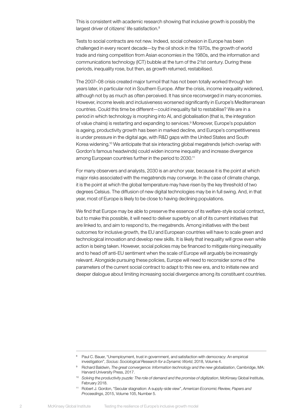This is consistent with academic research showing that inclusive growth is possibly the largest driver of citizens' life satisfaction.<sup>8</sup>

Tests to social contracts are not new. Indeed, social cohesion in Europe has been challenged in every recent decade—by the oil shock in the 1970s, the growth of world trade and rising competition from Asian economies in the 1980s, and the information and communications technology (ICT) bubble at the turn of the 21st century. During these periods, inequality rose, but then, as growth returned, restabilised.

The 2007–08 crisis created major turmoil that has not been totally worked through ten years later, in particular not in Southern Europe. After the crisis, income inequality widened, although not by as much as often perceived. It has since reconverged in many economies. However, income levels and inclusiveness worsened significantly in Europe's Mediterranean countries. Could this time be different—could inequality fail to restabilise? We are in a period in which technology is morphing into AI, and globalisation (that is, the integration of value chains) is restarting and expanding to services.<sup>9</sup> Moreover, Europe's population is ageing, productivity growth has been in marked decline, and Europe's competitiveness is under pressure in the digital age, with R&D gaps with the United States and South Korea widening.<sup>10</sup> We anticipate that six interacting global megatrends (which overlap with Gordon's famous headwinds) could widen income inequality and increase divergence among European countries further in the period to 2030.11

For many observers and analysts, 2030 is an anchor year, because it is the point at which major risks associated with the megatrends may converge. In the case of climate change, it is the point at which the global temperature may have risen by the key threshold of two degrees Celsius. The diffusion of new digital technologies may be in full swing. And, in that year, most of Europe is likely to be close to having declining populations.

We find that Europe may be able to preserve the essence of its welfare-style social contract, but to make this possible, it will need to deliver superbly on all of its current initiatives that are linked to, and aim to respond to, the megatrends. Among initiatives with the best outcomes for inclusive growth, the EU and European countries will have to scale green and technological innovation and develop new skills. It is likely that inequality will grow even while action is being taken. However, social policies may be financed to mitigate rising inequality and to head off anti-EU sentiment when the scale of Europe will arguably be increasingly relevant. Alongside pursuing these policies, Europe will need to reconsider some of the parameters of the current social contract to adapt to this new era, and to initiate new and deeper dialogue about limiting increasing social divergence among its constituent countries.

<sup>8</sup> Paul C. Bauer, "Unemployment, trust in government, and satisfaction with democracy: An empirical investigation", *Socius: Sociological Research for a Dynamic World*, 2018, Volume 4.

<sup>9</sup> Richard Baldwin, *The great convergence: Information technology and the new globalization*, Cambridge, MA: Harvard University Press, 2017.

<sup>&</sup>lt;sup>10</sup> Solving the productivity puzzle: The role of demand and the promise of digitization, McKinsey Global Institute, February 2018.

<sup>11</sup> Robert J. Gordon, "Secular stagnation: A supply-side view", *American Economic Review, Papers and Proceedings*, 2015, Volume 105, Number 5.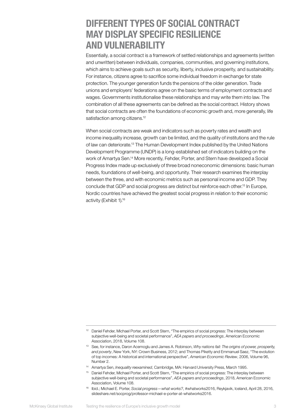# <span id="page-6-0"></span>DIFFERENT TYPES OF SOCIAL CONTRACT MAY DISPLAY SPECIFIC RESILIENCE AND VULNERABILITY

Essentially, a social contract is a framework of settled relationships and agreements (written and unwritten) between individuals, companies, communities, and governing institutions, which aims to achieve goals such as security, liberty, inclusive prosperity, and sustainability. For instance, citizens agree to sacrifice some individual freedom in exchange for state protection. The younger generation funds the pensions of the older generation. Trade unions and employers' federations agree on the basic terms of employment contracts and wages. Governments institutionalise these relationships and may write them into law. The combination of all these agreements can be defined as the social contract. History shows that social contracts are often the foundations of economic growth and, more generally, life satisfaction among citizens.<sup>12</sup>

When social contracts are weak and indicators such as poverty rates and wealth and income inequality increase, growth can be limited, and the quality of institutions and the rule of law can deteriorate.13 The Human Development Index published by the United Nations Development Programme (UNDP) is a long-established set of indicators building on the work of Amartya Sen.14 More recently, Fehder, Porter, and Stern have developed a Social Progress Index made up exclusively of three broad noneconomic dimensions: basic human needs, foundations of well-being, and opportunity. Their research examines the interplay between the three, and with economic metrics such as personal income and GDP. They conclude that GDP and social progress are distinct but reinforce each other.15 In Europe, Nordic countries have achieved the greatest social progress in relation to their economic activity (Exhibit 1).16

<sup>&</sup>lt;sup>12</sup> Daniel Fehder, Michael Porter, and Scott Stern, "The empirics of social progress: The interplay between subjective well-being and societal performance", *AEA papers and proceedings*, American Economic Association, 2018, Volume 108.

<sup>13</sup> See, for instance, Daron Acemoglu and James A. Robinson, *Why nations fail: The origins of power, prosperity, and poverty*, New York, NY: Crown Business, 2012; and Thomas Piketty and Emmanuel Saez, "The evolution of top incomes: A historical and international perspective", *American Economic Review*, 2006, Volume 96, Number 2.

<sup>14</sup> Amartya Sen, *Inequality reexamined*, Cambridge, MA: Harvard University Press, March 1995.

<sup>&</sup>lt;sup>15</sup> Daniel Fehder, Michael Porter, and Scott Stern, "The empirics of social progress: The interplay between subjective well-being and societal performance", *AEA papers and proceedings*, 2018, American Economic Association, Volume 108.

<sup>16</sup> Ibid.; Michael E. Porter, *Social progress—what works?*, #whatworks2016, Reykjavik, Iceland, April 28, 2016, slideshare.net/socprog/professor-michael-e-porter-at-whatworks2016.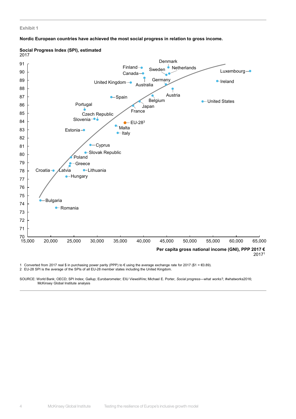#### **Exhibit 1**

**Social Progress Index (SPI), estimated** 

#### **Nordic European countries have achieved the most social progress in relation to gross income.**



1 Converted from 2017 real \$ in purchasing power parity (PPP) to € using the average exchange rate for 2017 (\$1 = €0.89). 2 EU-28 SPI is the average of the SPIs of all EU-28 member states including the United Kingdom.

SOURCE: World Bank; OECD; SPI Index; Gallup; Eurobarometer; EIU ViewsWire; Michael E. Porter, *Social progress—what works?*, #whatworks2016; McKinsey Global Institute analysis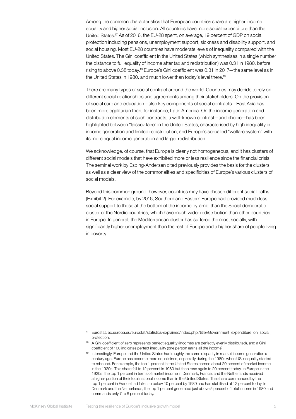Among the common characteristics that European countries share are higher income equality and higher social inclusion. All countries have more social expenditure than the United States.17 As of 2016, the EU-28 spent, on average, 19 percent of GDP on social protection including pensions, unemployment support, sickness and disability support, and social housing. Most EU-28 countries have moderate levels of inequality compared with the United States. The Gini coefficient in the United States (which synthesises in a single number the distance to full equality of income after tax and redistribution) was 0.31 in 1980, before rising to above 0.38 today.18 Europe's Gini coefficient was 0.31 in 2017—the same level as in the United States in 1980, and much lower than today's level there.<sup>19</sup>

There are many types of social contract around the world. Countries may decide to rely on different social relationships and agreements among their stakeholders. On the provision of social care and education—also key components of social contracts—East Asia has been more egalitarian than, for instance, Latin America. On the income generation and distribution elements of such contracts, a well-known contrast—and choice—has been highlighted between "laissez faire" in the United States, characterised by high inequality in income generation and limited redistribution, and Europe's so-called "welfare system" with its more equal income generation and larger redistribution.

We acknowledge, of course, that Europe is clearly not homogeneous, and it has clusters of different social models that have exhibited more or less resilience since the financial crisis. The seminal work by Esping-Andersen cited previously provides the basis for the clusters as well as a clear view of the commonalities and specificities of Europe's various clusters of social models.

Beyond this common ground, however, countries may have chosen different social paths (Exhibit 2). For example, by 2016, Southern and Eastern Europe had provided much less social support to those at the bottom of the income pyramid than the Social democratic cluster of the Nordic countries, which have much wider redistribution than other countries in Europe. In general, the Mediterranean cluster has suffered the most socially, with significantly higher unemployment than the rest of Europe and a higher share of people living in poverty.

<sup>&</sup>lt;sup>17</sup> Eurostat, ec.europa.eu/eurostat/statistics-explained/index.php?title=Government\_expenditure\_on\_social protection.

<sup>18</sup> A Gini coefficient of zero represents perfect equality (incomes are perfectly evenly distributed), and a Gini coefficient of 100 indicates perfect inequality (one person earns all the income).

<sup>&</sup>lt;sup>19</sup> Interestingly, Europe and the United States had roughly the same disparity in market income generation a century ago. Europe has become more equal since, especially during the 1980s when US inequality started to rebound. For example, the top 1 percent in the United States earned about 20 percent of market income in the 1920s. This share fell to 12 percent in 1980 but then rose again to 20 percent today. In Europe in the 1920s, the top 1 percent in terms of market income in Denmark, France, and the Netherlands received a higher portion of their total national income than in the United States. The share commanded by the top 1 percent in France had fallen to below 10 percent by 1980 and has stabilised at 12 percent today. In Denmark and the Netherlands, the top 1 percent generated just above 5 percent of total income in 1980 and commands only 7 to 8 percent today.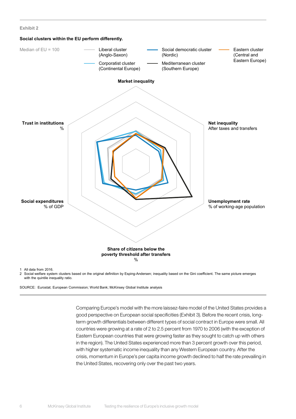#### **Exhibit 2**



1 All data from 2016.

2 Social welfare system clusters based on the original definition by Esping-Andersen; inequality based on the Gini coefficient. The same picture emerges with the quintile inequality ratio.

SOURCE: Eurostat; European Commission; World Bank; McKinsey Global Institute analysis

Comparing Europe's model with the more laissez-faire model of the United States provides a good perspective on European social specificities (Exhibit 3). Before the recent crisis, longterm growth differentials between different types of social contract in Europe were small. All countries were growing at a rate of 2 to 2.5 percent from 1970 to 2006 (with the exception of Eastern European countries that were growing faster as they sought to catch up with others in the region). The United States experienced more than 3 percent growth over this period, with higher systematic income inequality than any Western European country. After the crisis, momentum in Europe's per capita income growth declined to half the rate prevailing in the United States, recovering only over the past two years.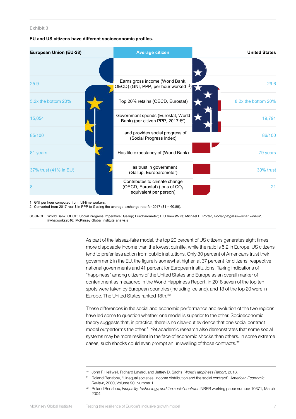#### **Exhibit 3**

#### **EU and US citizens have different socioeconomic profiles.**

| <b>European Union (EU-28)</b> | <b>Average citizen</b>                                                                               | <b>United States</b> |
|-------------------------------|------------------------------------------------------------------------------------------------------|----------------------|
|                               |                                                                                                      |                      |
| 25.9                          | Earns gross income (World Bank,<br>OECD) (GNI, PPP, per hour worked <sup>1,2</sup> )                 | 29.6                 |
| 5.2x the bottom 20%           | Top 20% retains (OECD, Eurostat)                                                                     | 8.2x the bottom 20%  |
| 15,054                        | Government spends (Eurostat, World<br>Bank) (per citizen PPP, 2017 $\epsilon^2$ )                    | 19,791               |
| 85/100                        | and provides social progress of<br>(Social Progress Index)                                           | 86/100               |
| 81 years                      | Has life expectancy of (World Bank)                                                                  | 79 years             |
| 37% trust (41% in EU)         | Has trust in government<br>(Gallup, Eurobarometer)                                                   | 30% trust            |
| 8                             | Contributes to climate change<br>(OECD, Eurostat) (tons of CO <sub>2</sub><br>equivalent per person) | 21                   |

1 GNI per hour computed from full-time workers.

2 Converted from 2017 real \$ in PPP to € using the average exchange rate for 2017 (\$1 = €0.89).

SOURCE: World Bank; OECD; Social Progress Imperative; Gallup; Eurobarometer; EIU ViewsWire; Michael E. Porter, *Social progress—what works?*, #whatworks2016; McKinsey Global Institute analysis

> As part of the laissez-faire model, the top 20 percent of US citizens generates eight times more disposable income than the lowest quintile, while the ratio is 5.2 in Europe. US citizens tend to prefer less action from public institutions. Only 30 percent of Americans trust their government; in the EU, the figure is somewhat higher, at 37 percent for citizens' respective national governments and 41 percent for European institutions. Taking indications of "happiness" among citizens of the United States and Europe as an overall marker of contentment as measured in the World Happiness Report, in 2018 seven of the top ten spots were taken by European countries (including Iceland), and 13 of the top 20 were in Europe. The United States ranked 18th.<sup>20</sup>

> These differences in the social and economic performance and evolution of the two regions have led some to question whether one model is superior to the other. Socioeconomic theory suggests that, in practice, there is no clear-cut evidence that one social contract model outperforms the other.<sup>21</sup> Yet academic research also demonstrates that some social systems may be more resilient in the face of economic shocks than others. In some extreme cases, such shocks could even prompt an unravelling of those contracts.<sup>22</sup>

<sup>20</sup> John F. Helliwell, Richard Layard, and Jeffrey D. Sachs, *World Happiness Report*, 2018.

<sup>21</sup> Roland Benabou, "Unequal societies: Income distribution and the social contract", A*merican Economic Review*, 2000, Volume 90, Number 1.

<sup>22</sup> Roland Benabou, *Inequality, technology, and the social contract*, NBER working paper number 10371, March 2004.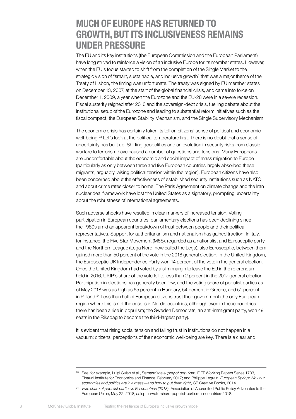# <span id="page-11-0"></span>MUCH OF EUROPE HAS RETURNED TO GROWTH, BUT ITS INCLUSIVENESS REMAINS UNDER PRESSURE

The EU and its key institutions (the European Commission and the European Parliament) have long strived to reinforce a vision of an inclusive Europe for its member states. However, when the EU's focus started to shift from the completion of the Single Market to the strategic vision of "smart, sustainable, and inclusive growth" that was a major theme of the Treaty of Lisbon, the timing was unfortunate. The treaty was signed by EU member states on December 13, 2007, at the start of the global financial crisis, and came into force on December 1, 2009, a year when the Eurozone and the EU-28 were in a severe recession. Fiscal austerity reigned after 2010 and the sovereign-debt crisis, fuelling debate about the institutional setup of the Eurozone and leading to substantial reform initiatives such as the fiscal compact, the European Stability Mechanism, and the Single Supervisory Mechanism.

The economic crisis has certainly taken its toll on citizens' sense of political and economic well-being.<sup>23</sup> Let's look at the political temperature first. There is no doubt that a sense of uncertainty has built up. Shifting geopolitics and an evolution in security risks from classic warfare to terrorism have caused a number of questions and tensions. Many Europeans are uncomfortable about the economic and social impact of mass migration to Europe (particularly as only between three and five European countries largely absorbed these migrants, arguably raising political tension within the region). European citizens have also been concerned about the effectiveness of established security institutions such as NATO and about crime rates closer to home. The Paris Agreement on climate change and the Iran nuclear deal framework have lost the United States as a signatory, prompting uncertainty about the robustness of international agreements.

Such adverse shocks have resulted in clear markers of increased tension. Voting participation in European countries' parliamentary elections has been declining since the 1980s amid an apparent breakdown of trust between people and their political representatives. Support for authoritarianism and nationalism has gained traction. In Italy, for instance, the Five Star Movement (M5S), regarded as a nationalist and Eurosceptic party, and the Northern League (Lega Nord, now called the Lega), also Eurosceptic, between them gained more than 50 percent of the vote in the 2018 general election. In the United Kingdom, the Eurosceptic UK Independence Party won 14 percent of the vote in the general election. Once the United Kingdom had voted by a slim margin to leave the EU in the referendum held in 2016, UKIP's share of the vote fell to less than 2 percent in the 2017 general election. Participation in elections has generally been low, and the voting share of populist parties as of May 2018 was as high as 65 percent in Hungary, 54 percent in Greece, and 51 percent in Poland.<sup>24</sup> Less than half of European citizens trust their government (the only European region where this is not the case is in Nordic countries, although even in these countries there has been a rise in populism; the Sweden Democrats, an anti-immigrant party, won 49 seats in the Riksdag to become the third-largest party).

It is evident that rising social tension and falling trust in institutions do not happen in a vacuum; citizens' perceptions of their economic well-being are key. There is a clear and

<sup>23</sup> See, for example, Luigi Guiso et al., *Demand the supply of populism*, EIEF Working Papers Series 1703, Einaudi Institute for Economics and Finance, February 2017; and Philippe Legrain, *European Spring: Why our economies and politics are in a mess—and how to put them right*, CB Creative Books, 2014.

<sup>24</sup> *Vote share of populist parties in EU countries (2018)*, Association of Accredited Public Policy Advocates to the European Union, May 22, 2018, aalep.eu/vote-share-populist-parties-eu-countries-2018.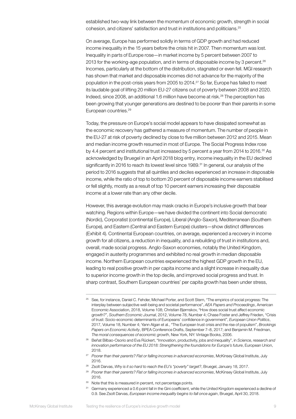established two-way link between the momentum of economic growth, strength in social cohesion, and citizens' satisfaction and trust in institutions and politicians.25

On average, Europe has performed solidly in terms of GDP growth and had reduced income inequality in the 15 years before the crisis hit in 2007. Then momentum was lost. Inequality in parts of Europe rose—in market income by 5 percent between 2007 to 2013 for the working-age population, and in terms of disposable income by 3 percent.<sup>26</sup> Incomes, particularly at the bottom of the distribution, stagnated or even fell. MGI research has shown that market and disposable incomes did not advance for the majority of the population in the post-crisis years from 2005 to 2014.<sup>27</sup> So far, Europe has failed to meet its laudable goal of lifting 20 million EU-27 citizens out of poverty between 2008 and 2020. Indeed, since 2008, an additional 1.6 million have become at risk.<sup>28</sup> The perception has been growing that younger generations are destined to be poorer than their parents in some European countries.29

Today, the pressure on Europe's social model appears to have dissipated somewhat as the economic recovery has gathered a measure of momentum. The number of people in the EU-27 at risk of poverty declined by close to five million between 2012 and 2015. Mean and median income growth resumed in most of Europe. The Social Progress Index rose by 4.4 percent and institutional trust increased by 5 percent a year from 2014 to 2016.<sup>30</sup> As acknowledged by Bruegel in an April 2018 blog entry, income inequality in the EU declined significantly in 2016 to reach its lowest level since 1989.<sup>31</sup> In general, our analysis of the period to 2016 suggests that all quintiles and deciles experienced an increase in disposable income, while the ratio of top to bottom 20 percent of disposable income earners stabilised or fell slightly, mostly as a result of top 10 percent earners increasing their disposable income at a lower rate than any other decile.

However, this average evolution may mask cracks in Europe's inclusive growth that bear watching. Regions within Europe—we have divided the continent into Social democratic (Nordic), Corporatist (continental Europe), Liberal (Anglo-Saxon), Mediterranean (Southern Europe), and Eastern (Central and Eastern Europe) clusters—show distinct differences (Exhibit 4). Continental European countries, on average, experienced a recovery in income growth for all citizens, a reduction in inequality, and a rebuilding of trust in institutions and, overall, made social progress. Anglo-Saxon economies, notably the United Kingdom, engaged in austerity programmes and exhibited no real growth in median disposable income. Northern European countries experienced the highest GDP growth in the EU, leading to real positive growth in per capita income and a slight increase in inequality due to superior income growth in the top decile, and improved social progress and trust. In sharp contrast, Southern European countries' per capita growth has been under stress,

- <sup>27</sup> *Poorer than their parents? Flat or falling incomes in advanced economies*, McKinsey Global Institute, July 2016.
- <sup>28</sup> Zsolt Darvas, *Why is it so hard to reach the EU's "poverty" target?*, Bruegel, January 18, 2017.
- <sup>29</sup> *Poorer than their parents? Flat or falling incomes in advanced economies*, McKinsey Global Institute, July 2016.
- <sup>30</sup> Note that this is measured in percent, not percentage points.
- <sup>31</sup> Germany experienced a 0.6 point fall in the Gini coefficient, while the United Kingdom experienced a decline of 0.9. See Zsolt Darvas, *European income inequality begins to fall once again*, Bruegel, April 30, 2018.

<sup>&</sup>lt;sup>25</sup> See, for instance, Daniel C. Fehder, Michael Porter, and Scott Stern, "The empirics of social progress: The interplay between subjective well-being and societal performance", *AEA Papers and Proceedings*, American Economic Association, 2018, Volume 108; Christian Bjørnskov, "How does social trust affect economic growth?", *Southern Economic Journal*, 2012, Volume 78, Number 4; Chase Foster and Jeffrey Frieden, "Crisis of trust: Socio-economic determinants of Europeans' confidence in government", *European Union Politics*, 2017, Volume 18, Number 4; Yann Algan et al., "The European trust crisis and the rise of populism", *Brookings Papers on Economic Activity*, BPEA Conference Drafts, September 7–8, 2017; and Benjamin M. Friedman, *The moral consequences of economic growth*, New York, NY: Vintage Books, 2006.

<sup>26</sup> Beñat Bilbao-Osorio and Eva Rückert, "Innovation, productivity, jobs and inequality", in *Science, research and innovation performance of the EU 2018: Strengthening the foundations for Europe's future*, European Union, 2018.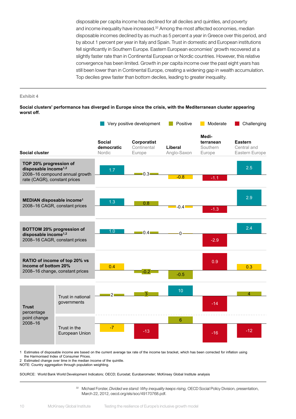disposable per capita income has declined for all deciles and quintiles, and poverty and income inequality have increased.<sup>32</sup> Among the most affected economies, median disposable incomes declined by as much as 5 percent a year in Greece over this period, and by about 1 percent per year in Italy and Spain. Trust in domestic and European institutions fell significantly in Southern Europe. Eastern European economies' growth recovered at a slightly faster rate than in Continental European or Nordic countries. However, this relative convergence has been limited. Growth in per capita income over the past eight years has still been lower than in Continental Europe, creating a widening gap in wealth accumulation. Top deciles grew faster than bottom deciles, leading to greater inequality.

#### **Exhibit 4**

#### **Social clusters' performance has diverged in Europe since the crisis, with the Mediterranean cluster appearing worst off.**

|                                                                                            |                                                                  |                                              | Very positive development            | Positive               | Moderate                                 | Challenging                                     |
|--------------------------------------------------------------------------------------------|------------------------------------------------------------------|----------------------------------------------|--------------------------------------|------------------------|------------------------------------------|-------------------------------------------------|
| Social cluster                                                                             |                                                                  | <b>Social</b><br>democratic<br><b>Nordic</b> | Corporatist<br>Continental<br>Europe | Liberal<br>Anglo-Saxon | Medi-<br>terranean<br>Southern<br>Europe | <b>Eastern</b><br>Central and<br>Eastern Europe |
| TOP 20% progression of<br>disposable income <sup>1,2</sup><br>rate (CAGR), constant prices | 2008-16 compound annual growth                                   | 1.7                                          | $0.3 -$                              | $-0.8$                 | $-1.1$                                   | 2.5                                             |
| MEDIAN disposable income <sup>1</sup><br>2008-16 CAGR, constant prices                     |                                                                  | 1.3                                          | 0.8                                  | $-0.4$                 | $-1.3$                                   | 2.9                                             |
| <b>BOTTOM 20% progression of</b><br>disposable income <sup>1,2</sup>                       | 2008-16 CAGR, constant prices                                    | 1.0                                          | $0.4 -$                              | 0                      | $-2.9$                                   | 2.4                                             |
| income of bottom 20%                                                                       | RATIO of income of top 20% vs<br>2008-16 change, constant prices | 0.4                                          | $-0.2$                               | $-0.5$                 | 0.9                                      | 0.3                                             |
| <b>Trust</b><br>percentage<br>point change<br>2008-16                                      | Trust in national<br>governments                                 | 2                                            | 3                                    | 10                     | $-14$                                    | 4                                               |
|                                                                                            | Trust in the<br>European Union                                   | $-7$                                         | $-13$                                | 6                      | $-16$                                    | $-12$                                           |

1 Estimates of disposable income are based on the current average tax rate of the income tax bracket, which has been corrected for inflation using the Harmonised Index of Consumer Prices.

2 Estimated change over time in the median income of the quintile.

NOTE: Country aggregation through population weighting.

SOURCE: World Bank World Development Indicators; OECD; Eurostat; Eurobarometer; McKinsey Global Institute analysis

<sup>32</sup> Michael Forster, *Divided we stand: Why inequality keeps rising,* OECD Social Policy Division, presentation, March 22, 2012, oecd.org/els/soc/49170768.pdf.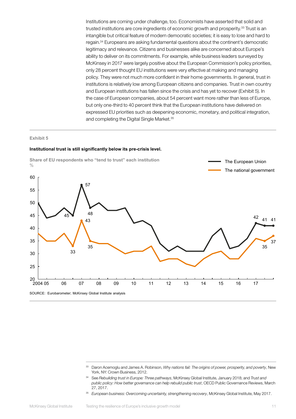Institutions are coming under challenge, too. Economists have asserted that solid and trusted institutions are core ingredients of economic growth and prosperity.<sup>33</sup> Trust is an intangible but critical feature of modern democratic societies; it is easy to lose and hard to regain.34 Europeans are asking fundamental questions about the continent's democratic legitimacy and relevance. Citizens and businesses alike are concerned about Europe's ability to deliver on its commitments. For example, while business leaders surveyed by McKinsey in 2017 were largely positive about the European Commission's policy priorities, only 28 percent thought EU institutions were very effective at making and managing policy. They were not much more confident in their home governments. In general, trust in institutions is relatively low among European citizens and companies. Trust in own country and European institutions has fallen since the crisis and has yet to recover (Exhibit 5). In the case of European companies, about 54 percent want more rather than less of Europe, but only one-third to 40 percent think that the European institutions have delivered on expressed EU priorities such as deepening economic, monetary, and political integration, and completing the Digital Single Market.<sup>35</sup>

#### **Exhibit 5**





<sup>33</sup> Daron Acemoglu and James A. Robinson, *Why nations fail: The origins of power, prosperity, and poverty*, New York, NY: Crown Business, 2012.

<sup>34</sup> See *Rebuilding trust in Europe: Three pathways*, McKinsey Global Institute, January 2018; and *Trust and public policy: How better governance can help rebuild public trust*, OECD Public Governance Reviews, March 27, 2017.

<sup>35</sup> *European business: Overcoming uncertainty, strengthening recovery*, McKinsey Global Institute, May 2017.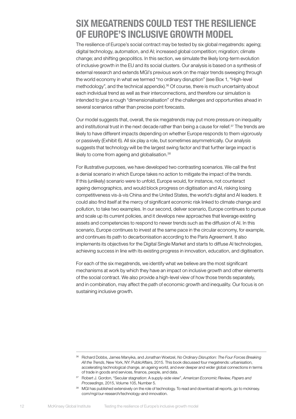# <span id="page-15-0"></span>SIX MEGATRENDS COULD TEST THE RESILIENCE OF EUROPE'S INCLUSIVE GROWTH MODEL

The resilience of Europe's social contract may be tested by six global megatrends: ageing; digital technology, automation, and AI; increased global competition; migration; climate change; and shifting geopolitics. In this section, we simulate the likely long-term evolution of inclusive growth in the EU and its social clusters. Our analysis is based on a synthesis of external research and extends MGI's previous work on the major trends sweeping through the world economy in what we termed "no ordinary disruption" (see Box 1, "High-level methodology", and the technical appendix).<sup>36</sup> Of course, there is much uncertainty about each individual trend as well as their interconnections, and therefore our simulation is intended to give a rough "dimensionalisation" of the challenges and opportunities ahead in several scenarios rather than precise point forecasts.

Our model suggests that, overall, the six megatrends may put more pressure on inequality and institutional trust in the next decade rather than being a cause for relief.<sup>37</sup> The trends are likely to have different impacts depending on whether Europe responds to them vigorously or passively (Exhibit 6). All six play a role, but sometimes asymmetrically. Our analysis suggests that technology will be the largest swing factor and that further large impact is likely to come from ageing and globalisation.<sup>38</sup>

For illustrative purposes, we have developed two contrasting scenarios. We call the first a denial scenario in which Europe takes no action to mitigate the impact of the trends. If this (unlikely) scenario were to unfold, Europe would, for instance, not counteract ageing demographics, and would block progress on digitisation and AI, risking losing competitiveness vis-à-vis China and the United States, the world's digital and AI leaders. It could also find itself at the mercy of significant economic risk linked to climate change and pollution, to take two examples. In our second, deliver scenario, Europe continues to pursue and scale up its current policies, and it develops new approaches that leverage existing assets and competencies to respond to newer trends such as the diffusion of AI. In this scenario, Europe continues to invest at the same pace in the circular economy, for example, and continues its path to decarbonisation according to the Paris Agreement. It also implements its objectives for the Digital Single Market and starts to diffuse AI technologies, achieving success in line with its existing progress in innovation, education, and digitisation.

For each of the six megatrends, we identify what we believe are the most significant mechanisms at work by which they have an impact on inclusive growth and other elements of the social contract. We also provide a high-level view of how those trends separately, and in combination, may affect the path of economic growth and inequality. Our focus is on sustaining inclusive growth.

<sup>36</sup> Richard Dobbs, James Manyika, and Jonathan Woetzel, *No Ordinary Disruption: The Four Forces Breaking All the Trends*, New York, NY: PublicAffairs, 2015. This book discussed four megatrends: urbanisation, accelerating technological change, an ageing world, and ever deeper and wider global connections in terms of trade in goods and services, finance, people, and data.

<sup>37</sup> Robert J. Gordon, "Secular stagnation: A supply-side view", *American Economic Review, Papers and Proceedings*, 2015, Volume 105, Number 5.

<sup>38</sup> MGI has published extensively on the role of technology. To read and download all reports, go to mckinsey. com/mgi/our-research/technology-and-innovation.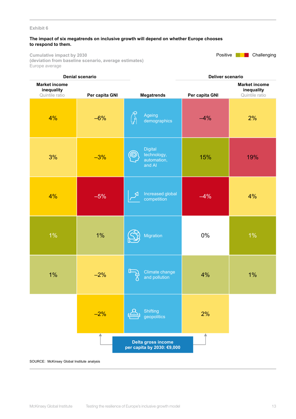# **Exhibit 6**

#### **The impact of six megatrends on inclusive growth will depend on whether Europe chooses to respond to them.**

**Cumulative impact by 2030 (deviation from baseline scenario, average estimates)** Europe average

| Positive | Challenging |
|----------|-------------|
|----------|-------------|

| <b>Denial scenario</b>                               |                |                                                              | Deliver scenario |                                                      |  |
|------------------------------------------------------|----------------|--------------------------------------------------------------|------------------|------------------------------------------------------|--|
| <b>Market income</b><br>inequality<br>Quintile ratio | Per capita GNI | <b>Megatrends</b>                                            | Per capita GNI   | <b>Market income</b><br>inequality<br>Quintile ratio |  |
| 4%                                                   | $-6%$          | Ageing<br>$\bigoplus$<br>demographics                        | $-4%$            | 2%                                                   |  |
| 3%                                                   | $-3%$          | <b>Digital</b><br>technology,<br>(©<br>automation,<br>and AI | 15%              | 19%                                                  |  |
| 4%                                                   | $-5%$          | Increased global<br>competition                              | $-4%$            | 4%                                                   |  |
| $1\%$                                                | $1\%$          | Migration                                                    | $0\%$            | 1%                                                   |  |
| 1%                                                   | $-2%$          | Œ<br>Climate change<br>and pollution                         | 4%               | 1%                                                   |  |
|                                                      | $-2%$          | <b>Shifting</b><br>geopolitics                               | 2%               |                                                      |  |
|                                                      |                | Delta gross income<br>per capita by 2030: €9,000             |                  |                                                      |  |

SOURCE: McKinsey Global Institute analysis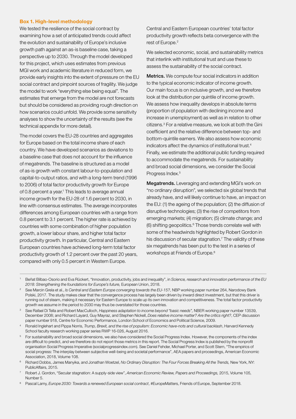# Box 1. High-level methodology

We tested the resilience of the social contract by examining how a set of anticipated trends could affect the evolution and sustainability of Europe's inclusive growth path against an as-is baseline case, taking a perspective up to 2030. Through the model developed for this project, which uses estimates from previous MGI work and academic literature in reduced form, we provide early insights into the extent of pressure on the EU social contract and pinpoint sources of fragility. We judge the model to work "everything else being equal". The estimates that emerge from the model are not forecasts but should be considered as providing rough direction on how scenarios could unfold. We provide some sensitivity analyses to show the uncertainty of the results (see the technical appendix for more detail).

The model covers the EU-28 countries and aggregates for Europe based on the total income share of each country. We have developed scenarios as deviations to a baseline case that does not account for the influence of megatrends. The baseline is structured as a model of as-is growth with constant labour-to-population and capital-to-output ratios, and with a long-term trend (1996 to 2006) of total factor productivity growth for Europe of 0.8 percent a year.<sup>1</sup> This leads to average annual income growth for the EU-28 of 1.6 percent to 2030, in line with consensus estimates. The average incorporates differences among European countries with a range from 0.8 percent to 3.1 percent. The higher rate is achieved by countries with some combination of higher population growth, a lower labour share, and higher total factor productivity growth. In particular, Central and Eastern European countries have achieved long-term total factor productivity growth of 1.2 percent over the past 20 years, compared with only 0.5 percent in Western Europe.

Central and Eastern European countries' total factor productivity growth reflects beta convergence with the rest of Europe.<sup>2</sup>

We selected economic, social, and sustainability metrics that interlink with institutional trust and use these to assess the sustainability of the social contract.

Metrics. We compute four social indicators in addition to the typical economic indicator of income growth. Our main focus is on inclusive growth, and we therefore look at the distribution per quintile of income growth. We assess how inequality develops in absolute terms (proportion of population with declining income and increase in unemployment) as well as in relation to other citizens.3 For a relative measure, we look at both the Gini coefficient and the relative difference between top- and bottom-quintile earners. We also assess how economic indicators affect the dynamics of institutional trust.<sup>4</sup> Finally, we estimate the additional public funding required to accommodate the megatrends. For sustainability and broad social dimensions, we consider the Social Progress Index.<sup>5</sup>

Megatrends. Leveraging and extending MGI's work on "no ordinary disruption", we selected six global trends that already have, and will likely continue to have, an impact on the EU: (1) the ageing of the population; (2) the diffusion of disruptive technologies; (3) the rise of competitors from emerging markets; (4) migration; (5) climate change; and (6) shifting geopolitics.<sup>6</sup> Those trends correlate well with some of the headwinds highlighted by Robert Gordon in his discussion of secular stagnation.<sup>7</sup> The validity of these six megatrends has been put to the test in a series of workshops at Friends of Europe.<sup>8</sup>

- <sup>6</sup> Richard Dobbs, James Manyika, and Jonathan Woetzel, *No Ordinary Disruption: The Four Forces Breaking All the Trends, New York, NY:* PublicAffairs, 2015.
- <sup>7</sup> Robert J. Gordon, "Secular stagnation: A supply-side view", *American Economic Review, Papers and Proceedings,* 2015, Volume 105, Number 5.
- 8 Pascal Lamy, *Europe 2030: Towards a renewed European social contract*, #EuropeMatters, Friends of Europe, September 2018.

<sup>1</sup> Beñat Bilbao-Osorio and Eva Rückert, "Innovation, productivity, jobs and inequality", in *Science, research and innovation performance of the EU 2018: Strengthening the foundations for Europe's future,* European Union, 2018.

<sup>&</sup>lt;sup>2</sup> See Marcin Grela et al., *Is Central and Eastern Europe converging towards the EU-15?*, NBP working paper number 264, Narodowy Bank Polski, 2017. The study makes clear that the convergence process has largely been driven by inward direct investment, but that this driver is running out of steam, making it necessary for Eastern Europe to scale up its own innovation and competitiveness. The total factor productivity growth we assume in the period to 2030 may thus be overstated for those countries.

<sup>3</sup> See Rafael Di Tella and Robert MacCulloch, *Happiness adaptation to income beyond "basic needs",* NBER working paper number 13539, December 2008; and Richard Layard, Guy Mayraz, and Stephen Nickell, *Does relative income matter? Are the critics right?*, CEP discussion paper number 918, Centre for Economic Performance, London School of Economics and Political Science, 2009.

<sup>4</sup> Ronald Inglehart and Pippa Norris, *Trump, Brexit, and the rise of populism: Economic have-nots and cultural backlash*, Harvard Kennedy School faculty research working paper series RWP 16-026, August 2016.

<sup>&</sup>lt;sup>5</sup> For sustainability and broad social dimensions, we also have considered the Social Progress Index. However, the components of the index are difficult to predict, and we therefore do not report those metrics in this report. The Social Progress Index is published by the nonprofit organisation Social Progress Imperative (socialprogressindex.com). See Daniel Fehder, Michael Porter, and Scott Stern, "The empirics of social progress: The interplay between subjective well-being and societal performance", AEA papers and proceedings, American Economic Association, 2018, Volume 108.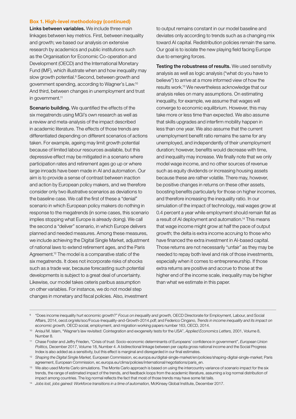# Box 1. High-level methodology (continued)

Links between variables. We include three main linkages between key metrics. First, between inequality and growth; we based our analysis on extensive research by academics and public institutions such as the Organisation for Economic Co-operation and Development (OECD) and the International Monetary Fund (IMF), which illustrate when and how inequality may slow growth potential.<sup>9</sup> Second, between growth and government spending, according to Wagner's Law.10 And third, between changes in unemployment and trust in government.<sup>11</sup>

Scenario building. We quantified the effects of the six megatrends using MGI's own research as well as a review and meta-analysis of the impact described in academic literature. The effects of those trends are differentiated depending on different scenarios of actions taken. For example, ageing may limit growth potential because of limited labour resources available, but this depressive effect may be mitigated in a scenario where participation rates and retirement ages go up or where large inroads have been made in AI and automation. Our aim is to provide a sense of contrast between inaction and action by European policy makers, and we therefore consider only two illustrative scenarios as deviations to the baseline case. We call the first of these a "denial" scenario in which European policy makers do nothing in response to the megatrends (in some cases, this scenario implies stopping what Europe is already doing). We call the second a "deliver" scenario, in which Europe delivers planned and needed measures. Among these measures, we include achieving the Digital Single Market, adjustment of national laws to extend retirement ages, and the Paris Agreement.<sup>12</sup> The model is a comparative static of the six megatrends. It does not incorporate risks of shocks such as a trade war, because forecasting such potential developments is subject to a great deal of uncertainty. Likewise, our model takes ceteris paribus assumption on other variables. For instance, we do not model step changes in monetary and fiscal policies. Also, investment

to output remains constant in our model baseline and deviates only according to trends such as a changing mix toward AI capital. Redistribution policies remain the same. Our goal is to isolate the new playing field facing Europe due to emerging forces.

Testing the robustness of results. We used sensitivity analysis as well as logic analysis ("what do you have to believe") to arrive at a more informed view of how the results work.13 We nevertheless acknowledge that our analysis relies on many assumptions. On estimating inequality, for example, we assume that wages will converge to economic equilibrium. However, this may take more or less time than expected. We also assume that skills upgrades and interfirm mobility happen in less than one year. We also assume that the current unemployment benefit ratio remains the same for any unemployed, and independently of their unemployment duration; however, benefits would decrease with time, and inequality may increase. We finally note that we only model wage income, and no other sources of revenue such as equity dividends or increasing housing assets because these are rather volatile. There may, however, be positive changes in returns on these other assets, boosting benefits particularly for those on higher incomes, and therefore increasing the inequality ratio. In our simulation of the impact of technology, real wages grow at 0.4 percent a year while employment should remain flat as a result of AI deployment and automation.<sup>14</sup> This means that wage income might grow at half the pace of output growth; the delta is extra income accruing to those who have financed the extra investment in AI-based capital. Those returns are not necessarily "unfair" as they may be needed to repay both level and risk of those investments, especially when it comes to entrepreneurship. If those extra returns are positive and accrue to those at the higher end of the income scale, inequality may be higher than what we estimate in this paper.

<sup>9</sup> "Does income inequality hurt economic growth?" *Focus on inequality and growth,* OECD Directorate for Employment, Labour, and Social Affairs, 2014, oecd.org/els/soc/Focus-Inequality-and-Growth-2014.pdf; and Federico Cingano, *Trends in income inequality and its impact on economic growth,* OECD social, employment, and migration working papers number 163, OECD, 2014.

<sup>10</sup> Anisul M. Islam, "Wagner's law revisited: Cointegration and exogeneity tests for the USA", *Applied Economics Letters,* 2001, Volume 8, Number 8.

<sup>11</sup> Chase Foster and Jeffry Frieden, "Crisis of trust: Socio-economic determinants of Europeans' confidence in government", *European Union Politics,* December 2017, Volume 18, Number 4. A bidirectional linkage between per capita gross national income and the Social Progress Index is also added as a sensitivity, but this effect is marginal and disregarded in our final estimates.

<sup>12</sup> *Shaping the Digital Single Market,* European Commission, ec.europa.eu/digital-single-market/en/policies/shaping-digital-single-market; Paris agreement, European Commission, ec.europa.eu/clima/policies/international/negotiations/paris\_en.

<sup>&</sup>lt;sup>13</sup> We also used Monte Carlo simulations. The Monte Carlo approach is based on using the intercountry variance of scenario impact for the six trends, the range of estimated impact of the trends, and feedback loops from the academic literature, assuming a log normal distribution of impact among countries. The log normal reflects the fact that most of those trends may have some fat tails.

<sup>14</sup> *Jobs lost, jobs gained: Workforce transitions in a time of automation,* McKinsey Global Institute, December 2017.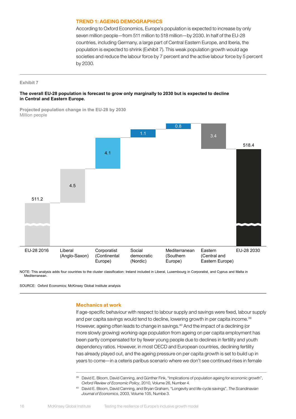## TREND 1: AGEING DEMOGRAPHICS

According to Oxford Economics, Europe's population is expected to increase by only seven million people—from 511 million to 518 million—by 2030. In half of the EU-28 countries, including Germany, a large part of Central Eastern Europe, and Iberia, the population is expected to shrink (Exhibit 7). This weak population growth would age societies and reduce the labour force by 7 percent and the active labour force by 5 percent by 2030.

**Exhibit 7**

#### **The overall EU-28 population is forecast to grow only marginally to 2030 but is expected to decline in Central and Eastern Europe.**

**Projected population change in the EU-28 by 2030** Million people



NOTE: This analysis adds four countries to the cluster classification: Ireland included in Liberal, Luxembourg in Corporatist, and Cyprus and Malta in Mediterranean.

SOURCE: Oxford Economics; McKinsey Global Institute analysis

# Mechanics at work

If age-specific behaviour with respect to labour supply and savings were fixed, labour supply and per capita savings would tend to decline, lowering growth in per capita income.<sup>39</sup> However, ageing often leads to change in savings.40 And the impact of a declining (or more slowly growing) working-age population from ageing on per capita employment has been partly compensated for by fewer young people due to declines in fertility and youth dependency ratios. However, in most OECD and European countries, declining fertility has already played out, and the ageing pressure on per capita growth is set to build up in years to come—in a ceteris paribus scenario where we don't see continued rises in female

<sup>&</sup>lt;sup>39</sup> David E. Bloom, David Canning, and Günther Fink, "Implications of population ageing for economic growth", *Oxford Review of Economic Policy*, 2010, Volume 26, Number 4.

<sup>40</sup> David E. Bloom, David Canning, and Bryan Graham, "Longevity and life-cycle savings", *The Scandinavian Journal of Economics*, 2003, Volume 105, Numbe 3.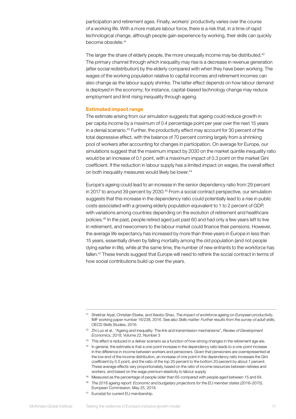participation and retirement ages. Finally, workers' productivity varies over the course of a working life. With a more mature labour force, there is a risk that, in a time of rapid technological change, although people gain experience by working, their skills can quickly become obsolete <sup>41</sup>

The larger the share of elderly people, the more unequally income may be distributed.<sup>42</sup> The primary channel through which inequality may rise is a decrease in revenue generation (after social redistribution) by the elderly compared with when they have been working. The wages of the working population relative to capital incomes and retirement incomes can also change as the labour supply shrinks. The latter effect depends on how labour demand is deployed in the economy; for instance, capital-biased technology change may reduce employment and limit rising inequality through ageing.

### Estimated impact range

The estimate arising from our simulation suggests that ageing could reduce growth in per capita income by a maximum of 0.4 percentage point per year over the next 15 years in a denial scenario.<sup>43</sup> Further, the productivity effect may account for 30 percent of the total depressive effect, with the balance of 70 percent coming largely from a shrinking pool of workers after accounting for changes in participation. On average for Europe, our simulations suggest that the maximum impact by 2030 on the market quintile inequality ratio would be an increase of 0.1 point, with a maximum impact of 0.3 point on the market Gini coefficient. If the reduction in labour supply has a limited impact on wages, the overall effect on both inequality measures would likely be lower.<sup>44</sup>

Europe's ageing could lead to an increase in the senior dependency ratio from 29 percent in 2017 to around 39 percent by 2030.<sup>45</sup> From a social contract perspective, our simulation suggests that this increase in the dependency ratio could potentially lead to a rise in public costs associated with a growing elderly population equivalent to 1 to 2 percent of GDP, with variations among countries depending on the evolution of retirement and healthcare policies.46 In the past, people retired aged just past 60 and had only a few years left to live in retirement, and newcomers to the labour market could finance their pensions. However, the average life expectancy has increased by more than three years in Europe in less than 15 years, essentially driven by falling mortality among the old population (and not people dying earlier in life), while at the same time, the number of new entrants to the workforce has fallen.<sup>47</sup> These trends suggest that Europe will need to rethink the social contract in terms of how social contributions build up over the years.

47 Eurostat for current EU membership.

<sup>41</sup> Shekhar Aiyar, Christian Ebeke, and Xiaobo Shao, *The impact of workforce ageing on European productivity*, IMF working paper number 16/238, 2016. See also *Skills matter: Further results from the survey of adult skills*, OECD Skills Studies, 2016.

<sup>42</sup> Zhi Luo et al., "Ageing and inequality: The link and transmission mechanisms", *Review of Development Economics*, 2018, Volume 22, Number 3

<sup>&</sup>lt;sup>43</sup> This effect is reduced in a deliver scenario as a function of how strong changes in the retirement age are.

<sup>44</sup> In general, the estimate is that a one-point increase in the dependency ratio leads to a one-point increase in the difference in income between workers and pensioners. Given that pensioners are overrepresented at the low end of the income distribution, an increase of one point in the dependency ratio increases the Gini coefficient by 0.5 point, and the ratio of the top 20 percent to the bottom 20 percent by about 1 percent. These average effects vary proportionately, based on the ratio of income resources between retirees and workers, and based on the wage premium elasticity to labour supply.

<sup>45</sup> Measured as the percentage of people older than 65 compared with people aged between 15 and 64.

<sup>46</sup> *The 2018 ageing report: Economic and budgetary projections for the EU member states (2016–2070)*, European Commission, May 25, 2018.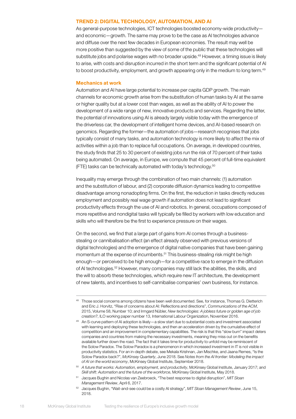# TREND 2: DIGITAL TECHNOLOGY, AUTOMATION, AND AI

As general-purpose technologies, ICT technologies boosted economy-wide productivity and economic—growth. The same may prove to be the case as AI technologies advance and diffuse over the next few decades in European economies. The result may well be more positive than suggested by the view of some of the public that these technologies will substitute jobs and polarise wages with no broader upside.<sup>48</sup> However, a timing issue is likely to arise, with costs and disruption incurred in the short term and the significant potential of AI to boost productivity, employment, and growth appearing only in the medium to long term.<sup>49</sup>

## Mechanics at work

Automation and AI have large potential to increase per capita GDP growth. The main channels for economic growth arise from the substitution of human tasks by AI at the same or higher quality but at a lower cost than wages, as well as the ability of AI to power the development of a wide range of new, innovative products and services. Regarding the latter, the potential of innovations using AI is already largely visible today with the emergence of the driverless car, the development of intelligent home devices, and AI-based research on genomics. Regarding the former—the automation of jobs—research recognises that jobs typically consist of many tasks, and automation technology is more likely to affect the mix of activities within a job than to replace full occupations. On average, in developed countries, the study finds that 25 to 30 percent of existing jobs run the risk of 70 percent of their tasks being automated. On average, in Europe, we compute that 45 percent of full-time equivalent (FTE) tasks can be technically automated with today's technology.50

Inequality may emerge through the combination of two main channels: (1) automation and the substitution of labour, and (2) corporate diffusion dynamics leading to competitive disadvantage among nonadopting firms. On the first, the reduction in tasks directly reduces employment and possibly real wage growth if automation does not lead to significant productivity effects through the use of AI and robotics. In general, occupations composed of more repetitive and nondigital tasks will typically be filled by workers with low education and skills who will therefore be the first to experience pressure on their wages.

On the second, we find that a large part of gains from AI comes through a businessstealing or cannibalisation effect (an effect already observed with previous versions of digital technologies) and the emergence of digital native companies that have been gaining momentum at the expense of incumbents.<sup>51</sup> This business-stealing risk might be high enough—or perceived to be high enough—for a competitive race to emerge in the diffusion of AI technologies.<sup>52</sup> However, many companies may still lack the abilities, the skills, and the will to absorb these technologies, which require new IT architecture, the development of new talents, and incentives to self-cannibalise companies' own business, for instance.

<sup>48</sup> Those social concerns among citizens have been well documented. See, for instance, Thomas G. Dietterich and Eric J. Horvitz, "Rise of concerns about AI: Reflections and directions", *Communications of the ACM*, 2015, Volume 58, Number 10; and Irmgard Nübler, *New technologies: A jobless future or golden age of job creation?*, ILO working paper number 13, International Labour Organization, November 2016.

<sup>49</sup> An S-curve pattern of AI adoption is likely — a slow start due to substantial costs and investment associated with learning and deploying these technologies, and then an acceleration driven by the cumulative effect of competition and an improvement in complementary capabilities. The risk is that this "slow burn" impact deters companies and countries from making the necessary investments, meaning they miss out on the benefits available further down the road. The fact that it takes time for productivity to unfold may be reminiscent of the Solow Paradox. The Solow Paradox is a phenomenon in which increased investment in IT is not visible in productivity statistics. For an in-depth debate, see Mekala Krishnan, Jan Mischke, and Jaana Remes, "Is the Solow Paradox back?", *McKinsey Quarterly*, June 2018. See *Notes from the AI frontier: Modeling the impact of AI on the world economy*, McKinsey Global Institute, September 2018.

<sup>50</sup> *A future that works: Automation, employment, and productivity*, McKinsey Global Institute, January 2017; and *Skill shift: Automation and the future of the workforce*, McKinsey Global Institute, May 2018.

<sup>51</sup> Jacques Bughin and Nicolas van Zeebroeck, "The best response to digital disruption", *MIT Sloan Management Review*, April 6, 2017.

<sup>52</sup> Jacques Bughin, "Wait-and-see could be a costly AI strategy", *MIT Sloan Management Review*, June 15, 2018.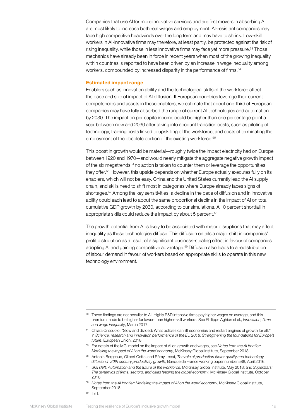Companies that use AI for more innovative services and are first movers in absorbing AI are most likely to increase both real wages and employment. AI-resistant companies may face high competitive headwinds over the long term and may have to shrink. Low-skill workers in AI-innovative firms may therefore, at least partly, be protected against the risk of rising inequality, while those in less innovative firms may face yet more pressure.<sup>53</sup> Those mechanics have already been in force in recent years when most of the growing inequality within countries is reported to have been driven by an increase in wage inequality among workers, compounded by increased disparity in the performance of firms.<sup>54</sup>

#### Estimated impact range

Enablers such as innovation ability and the technological skills of the workforce affect the pace and size of impact of AI diffusion. If European countries leverage their current competencies and assets in these enablers, we estimate that about one-third of European companies may have fully absorbed the range of current AI technologies and automation by 2030. The impact on per capita income could be higher than one percentage point a year between now and 2030 after taking into account transition costs, such as piloting of technology, training costs linked to upskilling of the workforce, and costs of terminating the employment of the obsolete portion of the existing workforce.<sup>55</sup>

This boost in growth would be material—roughly twice the impact electricity had on Europe between 1920 and 1970—and would nearly mitigate the aggregate negative growth impact of the six megatrends if no action is taken to counter them or leverage the opportunities they offer.<sup>56</sup> However, this upside depends on whether Europe actually executes fully on its enablers, which will not be easy. China and the United States currently lead the AI supply chain, and skills need to shift most in categories where Europe already faces signs of shortages.<sup>57</sup> Among the key sensitivities, a decline in the pace of diffusion and in innovative ability could each lead to about the same proportional decline in the impact of AI on total cumulative GDP growth by 2030, according to our simulations. A 10 percent shortfall in appropriate skills could reduce the impact by about 5 percent.<sup>58</sup>

The growth potential from AI is likely to be associated with major disruptions that may affect inequality as these technologies diffuse. This diffusion entails a major shift in companies' profit distribution as a result of a significant business-stealing effect in favour of companies adopting AI and gaining competitive advantage.<sup>59</sup> Diffusion also leads to a redistribution of labour demand in favour of workers based on appropriate skills to operate in this new technology environment.

<sup>53</sup> Those findings are not peculiar to AI. Highly R&D intensive firms pay higher wages on average, and this premium tends to be higher for lower- than higher-skill workers. See Philippe Aghion et al., *Innovation, firms and wage inequality*, March 2017.

<sup>54</sup> Chiara Criscuolo, "Slow and divided: What policies can lift economies and restart engines of growth for all?" in *Science, research and innovation performance of the EU 2018: Strengthening the foundations for Europe's future*, European Union, 2018.

<sup>55</sup> For details of the MGI model on the impact of AI on growth and wages, see *Notes from the AI frontier: Modeling the impact of AI on the world economy*, McKinsey Global Institute, September 2018.

<sup>56</sup> Antonin Bergeaud, Gilbert Cette, and Rémy Lecat, *The role of production factor quality and technology diffusion in 20th century productivity growth*, Banque de France working paper number 588, April 2016.

<sup>57</sup> *Skill shift: Automation and the future of the workforce*, McKinsey Global Institute, May 2018; and *Superstars: The dynamics of firms, sectors, and cities leading the global economy*, McKinsey Global Institute, October 2018.

<sup>58</sup> *Notes from the AI frontier: Modeling the impact of AI on the world economy*, McKinsey Global Institute, September 2018.

<sup>59</sup> Ibid.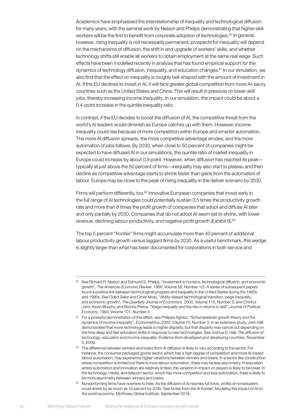Academics have emphasised the interrelationship of inequality and technological diffusion for many years, with the seminal work by Nelson and Phelps demonstrating that higher-skill workers will be the first to benefit from corporate adoption of technologies.<sup>60</sup> In general, however, rising inequality is not necessarily permanent; prospects for inequality will depend on the mechanisms of diffusion, the shift in and upgrade of workers' skills, and whether technology shifts still enable all workers to obtain employment at the same real wage. Such effects have been modelled recently in analysis that has found empirical support for the dynamics of technology diffusion, inequality, and education changes.<sup>61</sup> In our simulation, we also find that the effect on inequality is roughly bell-shaped with the amount of investment in AI. If the EU declines to invest in AI, it will face greater global competition from more AI-savvy countries such as the United States and China. This will result in pressure on lower-skill jobs, thereby increasing income inequality. In our simulation, the impact could be about a 0.4-point increase in the quintile inequality ratio.

In contrast, if the EU decides to boost the diffusion of AI, the competitive threat from the world's AI leaders would diminish as Europe catches up with them. However, income inequality could rise because of more competition within Europe and smarter automation. The more AI diffusion spreads, the more competitive advantage erodes, and the more automation of jobs follows. By 2030, when close to 50 percent of companies might be expected to have diffused AI in our simulations, the quintile ratio of market inequality in Europe could increase by about 0.9 point. However, when diffusion has reached its peak typically at just above the 50 percent of firms—inequality may also start to plateau and then decline as competitive advantage starts to shrink faster than gains from the automation of labour. Europe may be close to the peak of rising inequality in the deliver scenario by 2030.

Firms will perform differently, too.<sup>62</sup> Innovative European companies that invest early in the full range of AI technologies could potentially sustain 3.5 times the productivity growth rate and more than 6 times the profit growth of companies that adopt and diffuse AI later and only partially by 2030. Companies that do not adopt AI seem set to shrink, with lower revenue, declining labour productivity, and negative profit growth (Exhibit 8).<sup>63</sup>

The top 5 percent "frontier" firms might accumulate more than 40 percent of additional labour productivity growth versus laggard firms by 2030. As a useful benchmark, this wedge is slightly larger than what has been documented for corporations in both service and

<sup>&</sup>lt;sup>60</sup> See Richard R. Nelson and Edmund S. Phelps, "Investment in humans, technological diffusion, and economic growth", *The American Economic Review*, 1966, Volume 56, Number 1/2. A series of subsequent papers found a positive link between technological progress and inequality in the United States during the 1980s and 1990s. See Oded Galor and Omer Moav, "Ability-biased technological transition, wage inequality, and economic growth", *The Quarterly Journal of Economics*, 2000, Volume 115, Number 2; and Chinhui Juhn, Kevin Murphy, and Brooks Pierce, "Wage inequality and the rise in returns to skill", *Journal of Political Economy*, 1993, Volume 101, Number 3.

<sup>&</sup>lt;sup>61</sup> For a powerful demonstration of this effect, see Philippe Aghion, "Schumpeterian growth theory and the dynamics of income inequality", *Econometrica*, 2003, Volume 70, Number 3. In an extensive study, Josh Hall demonstrated that more technology leads to higher disparity, but that disparity may cancel out depending on the how deep and fast education shifts in response to new technologies. See Joshua D. Hall, *The diffusion of technology, education and income inequality: Evidence from developed and developing countries*, November 5, 2009.

<sup>&</sup>lt;sup>62</sup> The difference between winners and losers from AI diffusion is likely to vary according to the sector. For instance, the consumer packaged goods sector, which has a high degree of competition and more AI-based labour automation, may experience higher variations between winners and losers. In a sector like construction where competition is limited but there is more labour automation, there may be less asymmetry. In education where automation and innovation are relatively limited, the variation in impact on players is likely to be lower. In the technology, media, and telecom sector, which has more competition and less automation, there is likely to be more asymmetry between winners and losers.

<sup>63</sup> Nonperforming firms have nowhere to hide. As the diffusion of AI reaches full force, profits of nonadopters could shrink by as much as 10 percent by 2030. See *Notes from the AI frontier: Modeling the impact of AI on the world economy*, McKinsey Global Institute, September 2018.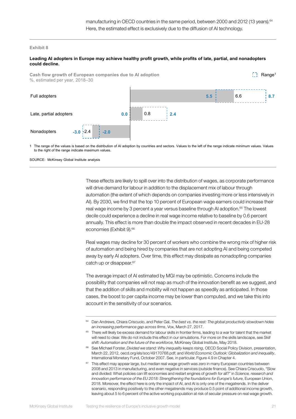#### **Exhibit 8**

#### **Leading AI adopters in Europe may achieve healthy profit growth, while profits of late, partial, and nonadopters could decline.**



1 The range of the values is based on the distribution of AI adoption by countries and sectors. Values to the left of the range indicate minimum values. Values to the right of the range indicate maximum values.

SOURCE: McKinsey Global Institute analysis

These effects are likely to spill over into the distribution of wages, as corporate performance will drive demand for labour in addition to the displacement mix of labour through automation (the extent of which depends on companies investing more or less intensively in AI). By 2030, we find that the top 10 percent of European wage earners could increase their real wage income by 3 percent a year versus baseline through AI adoption.<sup>65</sup> The lowest decile could experience a decline in real wage income relative to baseline by 0.6 percent annually. This effect is more than double the impact observed in recent decades in EU-28 economies (Exhibit 9).<sup>66</sup>

Real wages may decline for 30 percent of workers who combine the wrong mix of higher risk of automation and being hired by companies that are not adopting AI and being competed away by early AI adopters. Over time, this effect may dissipate as nonadopting companies catch up or disappear.<sup>67</sup>

The average impact of AI estimated by MGI may be optimistic. Concerns include the possibility that companies will not reap as much of the innovation benefit as we suggest, and that the addition of skills and mobility will not happen as speedily as anticipated. In those cases, the boost to per capita income may be lower than computed, and we take this into account in the sensitivity of our scenarios.

<sup>64</sup> Dan Andrews, Chiara Criscuolo, and Peter Gal, *The best vs. the rest: The global productivity slowdown hides an increasing performance gap across firms*, Vox, March 27, 2017.

<sup>&</sup>lt;sup>65</sup> There will likely be excess demand for labour skills in frontier firms, leading to a war for talent that the market will need to clear. We do not include this effect in our simulations. For more on the skills landscape, see *Skill shift: Automation and the future of the workforce*, McKinsey Global Institute, May 2018.

<sup>66</sup> See Michael Forster, *Divided we stand: Why inequality keeps rising*, OECD Social Policy Division, presentation, March 22, 2012, oecd.org/els/soc/49170768.pdf; and *World Economic Outlook: Globalization and inequality*, International Monetary Fund, October 2007. See, in particular, Figure 4.9 in Chapter 4.

This effect may appear large, but median real wage growth was zero in many European countries between 2008 and 2013 in manufacturing, and even negative in services (outside finance). See Chiara Criscuolo, "Slow and divided: What policies can lift economies and restart engines of growth for all?" in *Science, research and innovation performance of the EU 2018: Strengthening the foundations for Europe's future*, European Union, 2018. Moreover, the effect here is only the impact of AI, and AI is only one of the megatrends. In the deliver scenario, responding positively to the other megatrends may produce 0.5 point of additional income growth, leaving about 5 to 6 percent of the active working population at risk of secular pressure on real wage growth.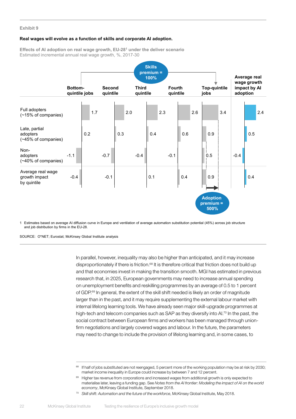#### **Exhibit 9**

#### **Real wages will evolve as a function of skills and corporate AI adoption.**

**Effects of AI adoption on real wage growth, EU-281 under the deliver scenario** Estimated incremental annual real wage growth, %, 2017-30



1 Estimates based on average AI diffusion curve in Europe and ventilation of average automation substitution potential (45%) across job structure and job distribution by firms in the EU-28.

SOURCE: O\*NET; Eurostat; McKinsey Global Institute analysis

In parallel, however, inequality may also be higher than anticipated, and it may increase disproportionately if there is friction.<sup>68</sup> It is therefore critical that friction does not build up and that economies invest in making the transition smooth. MGI has estimated in previous research that, in 2025, European governments may need to increase annual spending on unemployment benefits and reskilling programmes by an average of 0.5 to 1 percent of GDP.<sup>69</sup> In general, the extent of the skill shift needed is likely an order of magnitude larger than in the past, and it may require supplementing the external labour market with internal lifelong learning tools. We have already seen major skill-upgrade programmes at high-tech and telecom companies such as SAP as they diversify into AI.<sup>70</sup> In the past, the social contract between European firms and workers has been managed through unionfirm negotiations and largely covered wages and labour. In the future, the parameters may need to change to include the provision of lifelong learning and, in some cases, to

<sup>&</sup>lt;sup>68</sup> If half of jobs substituted are not reengaged, 5 percent more of the working population may be at risk by 2030; market income inequality in Europe could increase by between 7 and 12 percent.

<sup>69</sup> Higher tax revenue from corporations and increased wages from additional growth is only expected to materialise later, leaving a funding gap. See *Notes from the AI frontier: Modeling the impact of AI on the world economy*, McKinsey Global Institute, September 2018.

<sup>70</sup> *Skill shift: Automation and the future of the workforce*, McKinsey Global Institute, May 2018.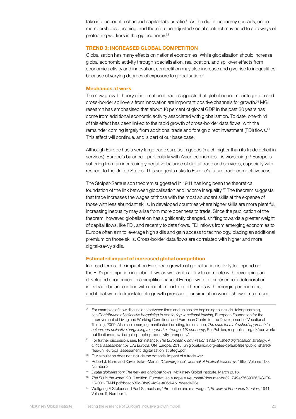take into account a changed capital-labour ratio.<sup>71</sup> As the digital economy spreads, union membership is declining, and therefore an adjusted social contract may need to add ways of protecting workers in the gig economy.<sup>72</sup>

# TREND 3: INCREASED GLOBAL COMPETITION

Globalisation has many effects on national economies. While globalisation should increase global economic activity through specialisation, reallocation, and spillover effects from economic activity and innovation, competition may also increase and give rise to inequalities because of varying degrees of exposure to globalisation.73

#### Mechanics at work

The new growth theory of international trade suggests that global economic integration and cross-border spillovers from innovation are important positive channels for growth.74 MGI research has emphasised that about 10 percent of global GDP in the past 30 years has come from additional economic activity associated with globalisation. To date, one-third of this effect has been linked to the rapid growth of cross-border data flows, with the remainder coming largely from additional trade and foreign direct investment (FDI) flows.75 This effect will continue, and is part of our base case.

Although Europe has a very large trade surplus in goods (much higher than its trade deficit in services), Europe's balance—particularly with Asian economies—is worsening.76 Europe is suffering from an increasingly negative balance of digital trade and services, especially with respect to the United States. This suggests risks to Europe's future trade competitiveness.

The Stolper-Samuelson theorem suggested in 1941 has long been the theoretical foundation of the link between globalisation and income inequality.<sup>77</sup> The theorem suggests that trade increases the wages of those with the most abundant skills at the expense of those with less abundant skills. In developed countries where higher skills are more plentiful, increasing inequality may arise from more openness to trade. Since the publication of the theorem, however, globalisation has significantly changed, shifting towards a greater weight of capital flows, like FDI, and recently to data flows. FDI inflows from emerging economies to Europe often aim to leverage high skills and gain access to technology, placing an additional premium on those skills. Cross-border data flows are correlated with higher and more digital-savvy skills.

#### Estimated impact of increased global competition

In broad terms, the impact on European growth of globalisation is likely to depend on the EU's participation in global flows as well as its ability to compete with developing and developed economies. In a simplified case, if Europe were to experience a deterioration in its trade balance in line with recent import-export trends with emerging economies, and if that were to translate into growth pressure, our simulation would show a maximum

- <sup>73</sup> Our simulation does not include the potential impact of a trade war.
- <sup>74</sup> Robert J. Barro and Xavier Sala-i-Martin, "Convergence", *Journal of Political Economy*, 1992, Volume 100, Number 2.
- <sup>75</sup> *Digital globalization: The new era of global flows*, McKinsey Global Institute, March 2016.
- <sup>76</sup> *The EU in the world*, 2016 edition, Eurostat, ec.europa.eu/eurostat/documents/3217494/7589036/KS-EX-16-001-EN-N.pdf/bcacb30c-0be9-4c2e-a06d-4b1daead493e.
- <sup>77</sup> Wolfgang F. Stolper and Paul Samuelson, "Protection and real wages", *Review of Economic Studies*, 1941, Volume 9, Number 1.

<sup>71</sup> For examples of how discussions between firms and unions are beginning to include lifelong learning, see *Contribution of collective bargaining to continuing vocational training*, European Foundation for the Improvement of Living and Working Conditions and European Centre for the Development of Vocational Training, 2009. Also see emerging manifestos including, for instance, *The case for a refreshed approach to unions and collective bargaining to support a stronger UK economy*, ResPublica, respublica.org.uk/our-work/ publications/new-bargain-people-productivity-prosperity/.

<sup>72</sup> For further discussion, see, for instance, *The European Commission's half-finished digitalisation strategy: A critical assessment by UNI Europa*, UNI Europa, 2015, uniglobalunion.org/sites/default/files/public\_shared/ files/uni\_europa\_assessment\_digitalisation\_strategy.pdf.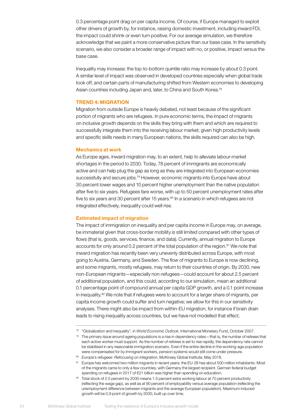0.3 percentage point drag on per capita income. Of course, if Europe managed to exploit other drivers of growth by, for instance, raising domestic investment, including inward FDI, the impact could shrink or even turn positive. For our average simulation, we therefore acknowledge that we paint a more conservative picture than our base case. In the sensitivity scenario, we also consider a broader range of impact with no, or positive, impact versus the base case.

Inequality may increase: the top-to-bottom quintile ratio may increase by about 0.3 point. A similar level of impact was observed in developed countries especially when global trade took off, and certain parts of manufacturing shifted from Western economies to developing Asian countries including Japan and, later, to China and South Korea.<sup>78</sup>

# TREND 4: MIGRATION

Migration from outside Europe is heavily debated, not least because of the significant portion of migrants who are refugees. In pure economic terms, the impact of migrants on inclusive growth depends on the skills they bring with them and which are required to successfully integrate them into the receiving labour market; given high productivity levels and specific skills needs in many European nations, the skills required can also be high.

# Mechanics at work

As Europe ages, inward migration may, to an extent, help to alleviate labour-market shortages in the period to 2030. Today, 78 percent of immigrants are economically active and can help plug the gap as long as they are integrated into European economies successfully and secure jobs.<sup>79</sup> However, economic migrants into Europe have about 30 percent lower wages and 10 percent higher unemployment than the native population after five to six years. Refugees fare worse, with up to 50 percent unemployment rates after five to six years and 30 percent after 15 years.<sup>80</sup> In a scenario in which refugees are not integrated effectively, inequality could well rise.

# Estimated impact of migration

The impact of immigration on inequality and per capita income in Europe mav. on average. be immaterial given that cross-border mobility is still limited compared with other types of flows (that is, goods, services, finance, and data). Currently, annual migration to Europe accounts for only around 0.2 percent of the total population of the region. $81$  We note that inward migration has recently been very unevenly distributed across Europe, with most going to Austria, Germany, and Sweden. The flow of migrants to Europe is now declining, and some migrants, mostly refugees, may return to their countries of origin. By 2030, new non-European migrants—especially non-refugees—could account for about 2.5 percent of additional population, and this could, according to our simulation, mean an additional 0.1 percentage point of compound annual per capita GDP growth, and a 0.1 point increase in inequality.<sup>82</sup> We note that if refugees were to account for a larger share of migrants, per capita income growth could suffer and turn negative; we allow for this in our sensitivity analyses. There might also be impact from within-EU migration, for instance if brain drain leads to rising inequality across countries, but we have not modelled that effect.

<sup>78</sup> "Globalization and inequality", in *World Economic Outlook*, International Monetary Fund, October 2007.

 $79$  The primary issue around ageing populations is a rise in dependency rates—that is, the number of retirees that each active worker must support. As the number of retirees is set to rise rapidly, the dependency rate cannot be stabilised in any reasonable immigration scenario. Even if the entire decline in the working-age population were compensated for by immigrant workers, pension systems would still come under pressure.

<sup>80</sup> *Europe's refugees: Refocusing on integration*, McKinsey Global Institute, May 2018.

<sup>81</sup> Europe has welcomed two million migrants in recent years; the EU-28 has about 500 million inhabitants. Most of the migrants came to only a few countries, with Germany the largest recipient. German federal budget spending on refugees in 2017 of €21 billion was higher than spending on education.

<sup>82</sup> Total stock of 2.5 percent by 2030 means 1.5 percent extra working labour at 70 percent productivity (reflecting the wage gap), as well as at 90 percent of employability versus average population (reflecting the unemployment difference between migrants and the average European population). Maximum induced growth will be 0.9 point of growth by 2030, built up over time.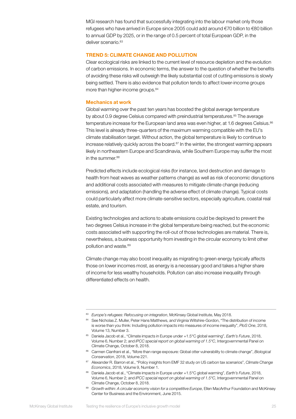MGI research has found that successfully integrating into the labour market only those refugees who have arrived in Europe since 2005 could add around €70 billion to €80 billion to annual GDP by 2025, or in the range of 0.5 percent of total European GDP, in the deliver scenario. 83

#### TREND 5: CLIMATE CHANGE AND POLLUTION

Clear ecological risks are linked to the current level of resource depletion and the evolution of carbon emissions. In economic terms, the answer to the question of whether the benefits of avoiding these risks will outweigh the likely substantial cost of cutting emissions is slowly being settled. There is also evidence that pollution tends to affect lower-income groups more than higher-income groups.<sup>84</sup>

#### Mechanics at work

Global warming over the past ten years has boosted the global average temperature by about 0.9 degree Celsius compared with preindustrial temperatures.<sup>85</sup> The average temperature increase for the European land area was even higher, at 1.6 degrees Celsius.<sup>86</sup> This level is already three-quarters of the maximum warming compatible with the EU's climate stabilisation target. Without action, the global temperature is likely to continue to increase relatively quickly across the board. $87$  In the winter, the strongest warming appears likely in northeastern Europe and Scandinavia, while Southern Europe may suffer the most in the summer.<sup>88</sup>

Predicted effects include ecological risks (for instance, land destruction and damage to health from heat waves as weather patterns change) as well as risk of economic disruptions and additional costs associated with measures to mitigate climate change (reducing emissions), and adaptation (handling the adverse effect of climate change). Typical costs could particularly affect more climate-sensitive sectors, especially agriculture, coastal real estate, and tourism.

Existing technologies and actions to abate emissions could be deployed to prevent the two degrees Celsius increase in the global temperature being reached, but the economic costs associated with supporting the roll-out of those technologies are material. There is, nevertheless, a business opportunity from investing in the circular economy to limit other pollution and waste.89

Climate change may also boost inequality as migrating to green energy typically affects those on lower incomes most, as energy is a necessary good and takes a higher share of income for less wealthy households. Pollution can also increase inequality through differentiated effects on health.

<sup>83</sup> *Europe's refugees: Refocusing on integration*, McKinsey Global Institute, May 2018.

<sup>84</sup> See Nicholas Z. Muller, Peter Hans Matthews, and Virginia Wiltshire-Gordon, "The distribution of income is worse than you think: Including pollution impacts into measures of income inequality", *PloS One*, 2018, Volume 13, Number 3.

<sup>85</sup> Daniela Jacob et al., "Climate impacts in Europe under +1.5°C global warming", *Earth's Future*, 2018, Volume 6, Number 2; and *IPCC special report on global warming of 1.5°C*, Intergovernmental Panel on Climate Change, October 8, 2018.

<sup>86</sup> Carmen Cianfrani et al., "More than range exposure: Global otter vulnerability to climate change", *Biological Conservation*, 2018, Volume 221.

<sup>87</sup> Alexander R. Barron et al., "Policy insights from EMF 32 study on US carbon tax scenarios", *Climate Change Economics*, 2018, Volume 9, Number 1.

<sup>88</sup> Daniela Jacob et al., "Climate impacts in Europe under +1.5°C global warming", *Earth's Future*, 2018, Volume 6, Number 2; and *IPCC special report on global warming of 1.5°C*, Intergovernmental Panel on Climate Change, October 8, 2018.

<sup>89</sup> *Growth within: A circular economy vision for a competitive Europe*, Ellen MacArthur Foundation and McKinsey Center for Business and the Environment, June 2015.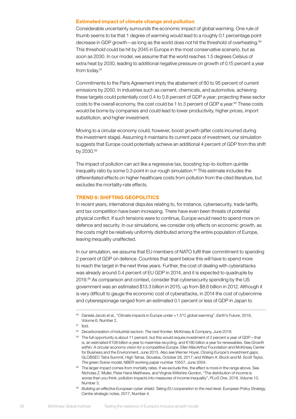### Estimated impact of climate change and pollution

Considerable uncertainty surrounds the economic impact of global warming. One rule of thumb seems to be that 1 degree of warming would lead to a roughly 0.1 percentage point decrease in GDP growth—as long as the world does not hit the threshold of overheating.<sup>90</sup> This threshold could be hit by 2045 in Europe in the most conservative scenario, but as soon as 2030. In our model, we assume that the world reaches 1.5 degrees Celsius of extra heat by 2030, leading to additional negative pressure on growth of 0.15 percent a year from today.91

Commitments to the Paris Agreement imply the abatement of 80 to 95 percent of current emissions by 2050. In industries such as cement, chemicals, and automotive, achieving these targets could potentially cost 0.4 to 0.8 percent of GDP a year; projecting these sector costs to the overall economy, the cost could be 1 to 3 percent of GDP a year.<sup>92</sup> These costs would be borne by companies and could lead to lower productivity, higher prices, import substitution, and higher investment.

Moving to a circular economy could, however, boost growth (after costs incurred during the investment stage). Assuming it maintains its current pace of investment, our simulation suggests that Europe could potentially achieve an additional 4 percent of GDP from this shift by 2030.93

The impact of pollution can act like a regressive tax, boosting top-to-bottom quintile inequality ratio by some 0.3 point in our rough simulation.<sup>94</sup> This estimate includes the differentiated effects on higher healthcare costs from pollution from the cited literature, but excludes the mortality-rate effects.

#### TREND 6: SHIFTING GEOPOLITICS

In recent years, international disputes relating to, for instance, cybersecurity, trade tariffs, and tax competition have been increasing. There have even been threats of potential physical conflict. If such tensions were to continue, Europe would need to spend more on defence and security. In our simulations, we consider only effects on economic growth, as the costs might be relatively uniformly distributed among the entire population of Europe, leaving inequality unaffected.

In our simulation, we assume that EU members of NATO fulfil their commitment to spending 2 percent of GDP on defence. Countries that spent below this will have to spend more to reach the target in the next three years. Further, the cost of dealing with cyberattacks was already around 0.4 percent of EU GDP in 2014, and it is expected to quadruple by 2019.<sup>95</sup> As comparison and context, consider that cybersecurity spending by the US government was an estimated \$13.3 billion in 2015, up from \$8.6 billion in 2012. Although it is very difficult to gauge the economic cost of cyberattacks, in 2014 the cost of cybercrime and cyberespionage ranged from an estimated 0.1 percent or less of GDP in Japan to

<sup>90</sup> Daniela Jacob et al., "Climate impacts in Europe under +1.5°C global warming", *Earth's Future*, 2018, Volume 6, Number 2.

 $91$  Ibid.

<sup>92</sup> *Decarbonization of industrial sectors: The next frontier*, McKinsey & Company, June 2018.

<sup>93</sup> The full opportunity is about 11 percent, but this would require investment of 2 percent a year of GDP—that is, an estimated €108 billion a year to maximise recycling, and €180 billion a year for renewables. See *Growth within: A circular economy vision for a competitive Europe*, Ellen MacArthur Foundation and McKinsey Center for Business and the Environment, June 2015. Also see Werner Hoyer, *Closing Europe's investment gaps*, GLOBSEC Tatra Summit, High Tatras, Slovakia, October 28, 2017; and William A. Brock and M. Scott Taylor, *The green Solow model*, NBER working paper number 10557, June 2004.

<sup>94</sup> The larger impact comes from mortality rates. If we exclude this, the effect is more in the range above. See Nicholas Z. Muller, Peter Hans Matthews, and Virginia Wiltshire-Gordon, "The distribution of income is worse than you think: pollution impacts into measures of income inequality", *PLoS One*, 2018, Volume 13, Number 3.

<sup>95</sup> *Building an effective European cyber shield: Taking EU cooperation to the next level*, European Policy Strategy Centre strategic notes, 2017, Number 4.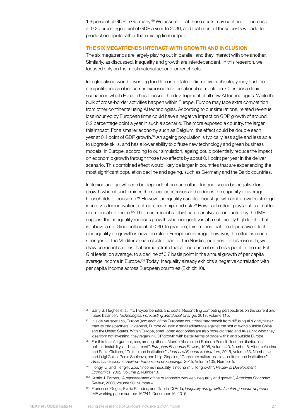1.6 percent of GDP in Germany.96 We assume that these costs may continue to increase at 0.2 percentage point of GDP a year to 2030, and that most of these costs will add to production inputs rather than raising final output.

# THE SIX MEGATRENDS INTERACT WITH GROWTH AND INCLUSION

The six megatrends are largely playing out in parallel, and they interact with one another. Similarly, as discussed, inequality and growth are interdependent. In this research, we focused only on the most material second-order effects.

In a globalised world, investing too little or too late in disruptive technology may hurt the competitiveness of industries exposed to international competition. Consider a denial scenario in which Europe has blocked the development of all new AI technologies. While the bulk of cross-border activities happen within Europe, Europe may face extra competition from other continents using AI technologies. According to our simulations, related revenue loss incurred by European firms could have a negative impact on GDP growth of around 0.2 percentage point a year in such a scenario. The more exposed a country, the larger this impact. For a smaller economy such as Belgium, the effect could be double each year at 0.4 point of GDP growth.<sup>97</sup> An ageing population is typically less agile and less able to upgrade skills, and has a lower ability to diffuse new technology and green business models. In Europe, according to our simulation, ageing could potentially reduce the impact on economic growth through those two effects by about 0.1 point per year in the deliver scenario. This combined effect would likely be larger in countries that are experiencing the most significant population decline and ageing, such as Germany and the Baltic countries.

Inclusion and growth can be dependent on each other. Inequality can be negative for growth when it undermines the social consensus and reduces the capacity of average households to consume.<sup>98</sup> However, inequality can also boost growth as it provides stronger incentives for innovation, entrepreneurship, and risk.<sup>99</sup> How each effect plays out is a matter of empirical evidence.<sup>100</sup> The most recent sophisticated analyses conducted by the IMF suggest that inequality reduces growth when inequality is at a sufficiently high level—that is, above a net Gini coefficient of 0.30. In practice, this implies that the depressive effect of inequality on growth is now the rule in Europe on average; however, the effect is much stronger for the Mediterranean cluster than for the Nordic countries. In this research, we draw on recent studies that demonstrate that an increase of one basis point in the market Gini leads, on average, to a decline of 0.7 basis point in the annual growth of per capita average income in Europe.101 Today, inequality already exhibits a negative correlation with per capita income across European countries (Exhibit 10).

<sup>96</sup> Barry B. Hughes et al., "ICT/cyber benefits and costs: Reconciling competing perspectives on the current and future balance", *Technological Forecasting and Social Change*, 2017, Volume 115.

<sup>97</sup> In a deliver scenario, Europe (and each of the European countries) may benefit from diffusing AI slightly faster than its trade partners. In general, Europe will gain a small advantage against the rest of world outside China and the United States. Within Europe, small, open economies are also more digitised and AI-savvy; what they lose from not investing, they regain in GDP growth with better terms of trade within and outside Europe.

<sup>98</sup> For this line of argument, see, among others, Alberto Alesina and Roberto Perotti, "Income distribution, political instability, and investment", *European Economic Review*, 1996, Volume 40, Number 6; Alberto Alesina and Paola Giuliano, "Culture and institutions", *Journal of Economic Literature*, 2015, Volume 53, Number 4; and Luigi Guiso, Paola Sapienza, and Luigi Zingales, "Corporate culture, societal culture, and institutions", *American Economic Review: Papers and proceedings*, 2015, Volume 105, Number 5.

<sup>99</sup> Hongyi Li, and Heng-fu Zou, "Income inequality is not harmful for growth", *Review of Development Economics*, 2002, Volume 2, Number 3.

<sup>100</sup> Kristin J. Forbes, "A reassessment of the relationship between inequality and growth", *American Economic Review*, 2000, Volume 90, Number 4.

<sup>101</sup> Francesco Grigoli, Evelio Paredes, and Gabriel Di Bella, *Inequality and growth: A heterogeneous approach*, IMF working paper number 16/244, December 16, 2016.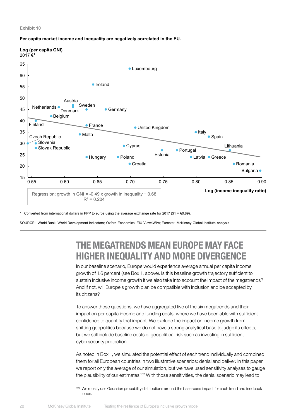#### **Exhibit 10**

#### **Per capita market income and inequality are negatively correlated in the EU.**



1 Converted from international dollars in PPP to euros using the average exchange rate for 2017 (\$1 =  $\epsilon$ 0.89).

SOURCE: World Bank; World Development Indicators; Oxford Economics; EIU ViewsWire; Eurostat; McKinsey Global Institute analysis

# <span id="page-31-0"></span>THE MEGATRENDS MEAN EUROPE MAY FACE HIGHER INEQUALITY AND MORE DIVERGENCE

In our baseline scenario, Europe would experience average annual per capita income growth of 1.6 percent (see Box 1, above). Is this baseline growth trajectory sufficient to sustain inclusive income growth if we also take into account the impact of the megatrends? And if not, will Europe's growth plan be compatible with inclusion and be accepted by its citizens?

To answer these questions, we have aggregated five of the six megatrends and their impact on per capita income and funding costs, where we have been able with sufficient confidence to quantify that impact. We exclude the impact on income growth from shifting geopolitics because we do not have a strong analytical base to judge its effects, but we still include baseline costs of geopolitical risk such as investing in sufficient cybersecurity protection.

As noted in Box 1, we simulated the potential effect of each trend individually and combined them for all European countries in two illustrative scenarios: denial and deliver. In this paper, we report only the average of our simulation, but we have used sensitivity analyses to gauge the plausibility of our estimates.102 With those sensitivities, the denial scenario may lead to

<sup>102</sup> We mostly use Gaussian probability distributions around the base-case impact for each trend and feedback loops.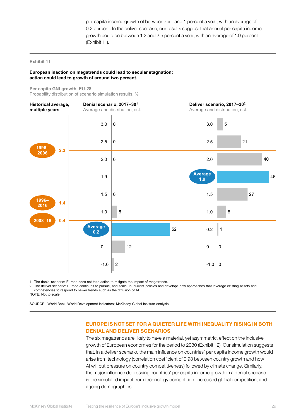per capita income growth of between zero and 1 percent a year, with an average of 0.2 percent. In the deliver scenario, our results suggest that annual per capita income growth could be between 1.2 and 2.5 percent a year, with an average of 1.9 percent (Exhibit 11).

#### **Exhibit 11**

#### **European inaction on megatrends could lead to secular stagnation; action could lead to growth of around two percent.**

**Per capita GNI growth, EU-28** Probability distribution of scenario simulation results, %



1 The denial scenario: Europe does not take action to mitigate the impact of megatrends.

2 The deliver scenario: Europe continues to pursue, and scale up, current policies and develops new approaches that leverage existing assets and competencies to respond to newer trends such as the diffusion of AI. NOTE: Not to scale.

SOURCE: World Bank; World Development Indicators; McKinsey Global Institute analysis

# EUROPE IS NOT SET FOR A QUIETER LIFE WITH INEQUALITY RISING IN BOTH DENIAL AND DELIVER SCENARIOS

The six megatrends are likely to have a material, yet asymmetric, effect on the inclusive growth of European economies for the period to 2030 (Exhibit 12). Our simulation suggests that, in a deliver scenario, the main influence on countries' per capita income growth would arise from technology (correlation coefficient of 0.93 between country growth and how AI will put pressure on country competitiveness) followed by climate change. Similarly, the major influence depressing countries' per capita income growth in a denial scenario is the simulated impact from technology competition, increased global competition, and ageing demographics.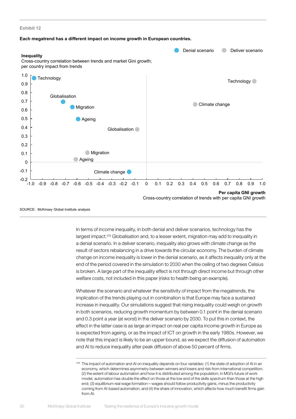#### **Exhibit 12**

#### **Each megatrend has a different impact on income growth in European countries.**



SOURCE: McKinsey Global Institute analysis

In terms of income inequality, in both denial and deliver scenarios, technology has the largest impact.<sup>103</sup> Globalisation and, to a lesser extent, migration may add to inequality in a denial scenario. In a deliver scenario, inequality also grows with climate change as the result of sectors rebalancing in a drive towards the circular economy. The burden of climate change on income inequality is lower in the denial scenario, as it affects inequality only at the end of the period covered in the simulation to 2030 when the ceiling of two degrees Celsius is broken. A large part of the inequality effect is not through direct income but through other welfare costs, not included in this paper (risks to health being an example).

Whatever the scenario and whatever the sensitivity of impact from the megatrends, the implication of the trends playing out in combination is that Europe may face a sustained increase in inequality. Our simulations suggest that rising inequality could weigh on growth in both scenarios, reducing growth momentum by between 0.1 point in the denial scenario and 0.3 point a year (at worst) in the deliver scenario by 2030. To put this in context, the effect in the latter case is as large an impact on real per capita income growth in Europe as is expected from ageing, or as the impact of ICT on growth in the early 1980s. However, we note that this impact is likely to be an upper bound, as we expect the diffusion of automation and AI to reduce inequality after peak diffusion of above 50 percent of firms.

<sup>103</sup> The impact of automation and AI on inequality depends on four variables: (1) the state of adoption of AI in an economy, which determines asymmetry between winners and losers and risk from international competition; (2) the extent of labour automation and how it is distributed among the population; in MGI's future of work model, automation has double the effect on those at the low end of the skills spectrum than those at the high end; (3) equilibrium real wage formation—wages should follow productivity gains, minus the productivity coming from AI-based automation; and (4) the share of innovation, which affects how much benefit firms gain from AI.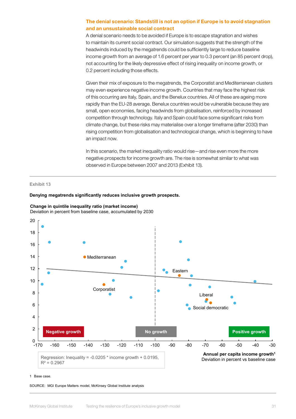# The denial scenario: Standstill is not an option if Europe is to avoid stagnation and an unsustainable social contract

A denial scenario needs to be avoided if Europe is to escape stagnation and wishes to maintain its current social contract. Our simulation suggests that the strength of the headwinds induced by the megatrends could be sufficiently large to reduce baseline income growth from an average of 1.6 percent per year to 0.3 percent (an 85 percent drop), not accounting for the likely depressive effect of rising inequality on income growth, or 0.2 percent including those effects.

Given their mix of exposure to the megatrends, the Corporatist and Mediterranean clusters may even experience negative income growth. Countries that may face the highest risk of this occurring are Italy, Spain, and the Benelux countries. All of these are ageing more rapidly than the EU-28 average. Benelux countries would be vulnerable because they are small, open economies, facing headwinds from globalisation, reinforced by increased competition through technology. Italy and Spain could face some significant risks from climate change, but these risks may materialise over a longer timeframe (after 2030) than rising competition from globalisation and technological change, which is beginning to have an impact now.

In this scenario, the market inequality ratio would rise—and rise even more the more negative prospects for income growth are. The rise is somewhat similar to what was observed in Europe between 2007 and 2013 (Exhibit 13).

#### **Exhibit 13**

#### **Denying megatrends significantly reduces inclusive growth prospects.**



## **Change in quintile inequality ratio (market income)** Deviation in percent from baseline case, accumulated by 2030

1 Base case.

SOURCE: MGI Europe Matters model, McKinsey Global Institute analysis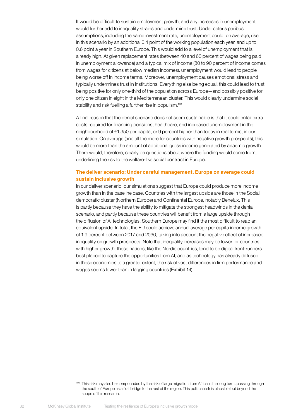It would be difficult to sustain employment growth, and any increases in unemployment would further add to inequality strains and undermine trust. Under ceteris paribus assumptions, including the same investment rate, unemployment could, on average, rise in this scenario by an additional 0.4 point of the working population each year, and up to 0.6 point a year in Southern Europe. This would add to a level of unemployment that is already high. At given replacement rates (between 40 and 60 percent of wages being paid in unemployment allowance) and a typical mix of income (80 to 90 percent of income comes from wages for citizens at below median incomes), unemployment would lead to people being worse off in income terms. Moreover, unemployment causes emotional stress and typically undermines trust in institutions. Everything else being equal, this could lead to trust being positive for only one-third of the population across Europe—and possibly positive for only one citizen in eight in the Mediterranean cluster. This would clearly undermine social stability and risk fuelling a further rise in populism.<sup>104</sup>

A final reason that the denial scenario does not seem sustainable is that it could entail extra costs required for financing pensions, healthcare, and increased unemployment in the neighbourhood of €1,350 per capita, or 9 percent higher than today in real terms, in our simulation. On average (and all the more for countries with negative growth prospects), this would be more than the amount of additional gross income generated by anaemic growth. There would, therefore, clearly be questions about where the funding would come from, underlining the risk to the welfare-like social contract in Europe.

# The deliver scenario: Under careful management, Europe on average could sustain inclusive growth

In our deliver scenario, our simulations suggest that Europe could produce more income growth than in the baseline case. Countries with the largest upside are those in the Social democratic cluster (Northern Europe) and Continental Europe, notably Benelux. This is partly because they have the ability to mitigate the strongest headwinds in the denial scenario, and partly because these countries will benefit from a large upside through the diffusion of AI technologies. Southern Europe may find it the most difficult to reap an equivalent upside. In total, the EU could achieve annual average per capita income growth of 1.9 percent between 2017 and 2030, taking into account the negative effect of increased inequality on growth prospects. Note that inequality increases may be lower for countries with higher growth; these nations, like the Nordic countries, tend to be digital front-runners best placed to capture the opportunities from AI, and as technology has already diffused in these economies to a greater extent, the risk of vast differences in firm performance and wages seems lower than in lagging countries (Exhibit 14).

<sup>104</sup> This risk may also be compounded by the risk of large migration from Africa in the long term, passing through the south of Europe as a first bridge to the rest of the region. This political risk is plausible but beyond the scope of this research.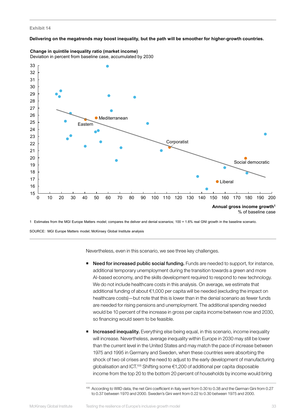#### **Exhibit 14**

#### **Delivering on the megatrends may boost inequality, but the path will be smoother for higher-growth countries.**



**Change in quintile inequality ratio (market income)**

1 Estimates from the MGI Europe Matters model; compares the deliver and denial scenarios; 100 = 1.6% real GNI growth in the baseline scenario.

SOURCE: MGI Europe Matters model; McKinsey Global Institute analysis

Nevertheless, even in this scenario, we see three key challenges.

- Reed for increased public social funding. Funds are needed to support, for instance, additional temporary unemployment during the transition towards a green and more AI-based economy, and the skills development required to respond to new technology. We do not include healthcare costs in this analysis. On average, we estimate that additional funding of about €1,000 per capita will be needed (excluding the impact on healthcare costs)—but note that this is lower than in the denial scenario as fewer funds are needed for rising pensions and unemployment. The additional spending needed would be 10 percent of the increase in gross per capita income between now and 2030, so financing would seem to be feasible.
- Increased inequality. Everything else being equal, in this scenario, income inequality will increase. Nevertheless, average inequality within Europe in 2030 may still be lower than the current level in the United States and may match the pace of increase between 1975 and 1995 in Germany and Sweden, when these countries were absorbing the shock of two oil crises and the need to adjust to the early development of manufacturing globalisation and ICT.<sup>105</sup> Shifting some €1,200 of additional per capita disposable income from the top 20 to the bottom 20 percent of households by income would bring

<sup>105</sup> According to WIID data, the net Gini coefficient in Italy went from 0.30 to 0.38 and the German Gini from 0.27 to 0.37 between 1970 and 2000. Sweden's Gini went from 0.22 to 0.30 between 1975 and 2000.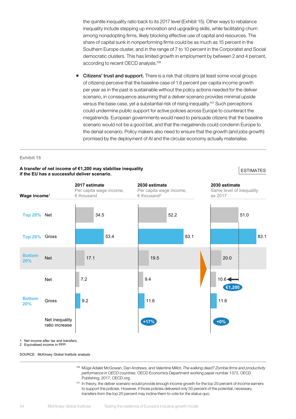the quintile inequality ratio back to its 2017 level (Exhibit 15). Other ways to rebalance inequality include stepping up innovation and upgrading skills, while facilitating churn among nonadopting firms, likely blocking effective use of capital and resources. The share of capital sunk in nonperforming firms could be as much as 15 percent in the Southern Europe cluster, and in the range of 7 to 10 percent in the Corporatist and Social democratic clusters. This has limited growth in employment by between 2 and 4 percent, according to recent OECD analysis.106

**Citizens' trust and support.** There is a risk that citizens (at least some vocal groups of citizens) perceive that the baseline case of 1.6 percent per capita income growth per year as in the past is sustainable without the policy actions needed for the deliver scenario, in consequence assuming that a deliver scenario provides minimal upside versus the base case, yet a substantial risk of rising inequality.107 Such perceptions could undermine public support for active policies across Europe to counteract the megatrends. European governments would need to persuade citizens that the baseline scenario would not be a good bet, and that the megatrends could condemn Europe to the denial scenario. Policy makers also need to ensure that the growth (and jobs growth) promised by the deployment of AI and the circular economy actually materialise.

ESTIMATES

#### **Exhibit 15**

# **A transfer of net income of €1,200 may stabilise inequality if the EU has a successful deliver scenario.**



1 Net income after tax and transfers.

2 Equivalised income in PPP.

SOURCE: McKinsey Global Institute analysis

- <sup>106</sup> Müge Adalet McGowan, Dan Andrews, and Valentine Millot, *The walking dead? Zombie firms and productivity performance in OECD countries*, OECD Economics Department working paper number 1372, OECD Publishing, 2017, OECD.org.
- 107 In theory, the deliver scenario would provide enough income growth for the top 20 percent of income earners to support the policies. However, if those policies delivered only 50 percent of the potential, necessary transfers from the top 20 percent may incline them to vote for the status quo.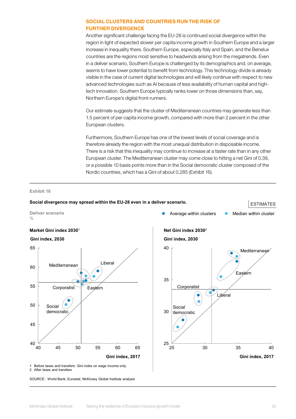# SOCIAL CLUSTERS AND COUNTRIES RUN THE RISK OF FURTHER DIVERGENCE

Another significant challenge facing the EU-28 is continued social divergence within the region in light of expected slower per capita income growth in Southern Europe and a larger increase in inequality there. Southern Europe, especially Italy and Spain, and the Benelux countries are the regions most sensitive to headwinds arising from the megatrends. Even in a deliver scenario, Southern Europe is challenged by its demographics and, on average, seems to have lower potential to benefit from technology. This technology divide is already visible in the case of current digital technologies and will likely continue with respect to new advanced technologies such as AI because of less availability of human capital and hightech innovation. Southern Europe typically ranks lower on those dimensions than, say, Northern Europe's digital front-runners.

Our estimate suggests that the cluster of Mediterranean countries may generate less than 1.5 percent of per capita income growth, compared with more than 2 percent in the other European clusters.

Furthermore, Southern Europe has one of the lowest levels of social coverage and is therefore already the region with the most unequal distribution in disposable income. There is a risk that this inequality may continue to increase at a faster rate than in any other European cluster. The Mediterranean cluster may come close to hitting a net Gini of 0.39, or a possible 10 basis points more than in the Social democratic cluster composed of the Nordic countries, which has a Gini of about 0.285 (Exhibit 16).

#### **Exhibit 16**



SOURCE: World Bank; Eurostat; McKinsey Global Institute analysis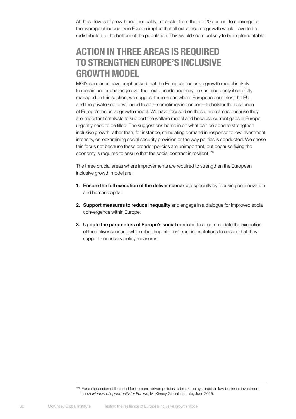At those levels of growth and inequality, a transfer from the top 20 percent to converge to the average of inequality in Europe implies that all extra income growth would have to be redistributed to the bottom of the population. This would seem unlikely to be implementable.

# <span id="page-39-0"></span>ACTION IN THREE AREAS IS REQUIRED TO STRENGTHEN EUROPE'S INCLUSIVE GROWTH MODEL

MGI's scenarios have emphasised that the European inclusive growth model is likely to remain under challenge over the next decade and may be sustained only if carefully managed. In this section, we suggest three areas where European countries, the EU, and the private sector will need to act—sometimes in concert—to bolster the resilience of Europe's inclusive growth model. We have focused on these three areas because they are important catalysts to support the welfare model and because current gaps in Europe urgently need to be filled. The suggestions home in on what can be done to strengthen inclusive growth rather than, for instance, stimulating demand in response to low investment intensity, or reexamining social security provision or the way politics is conducted. We chose this focus not because these broader policies are unimportant, but because fixing the economy is required to ensure that the social contract is resilient.<sup>108</sup>

The three crucial areas where improvements are required to strengthen the European inclusive growth model are:

- 1. Ensure the full execution of the deliver scenario, especially by focusing on innovation and human capital.
- 2. Support measures to reduce inequality and engage in a dialogue for improved social convergence within Europe.
- 3. Update the parameters of Europe's social contract to accommodate the execution of the deliver scenario while rebuilding citizens' trust in institutions to ensure that they support necessary policy measures.

<sup>&</sup>lt;sup>108</sup> For a discussion of the need for demand-driven policies to break the hysteresis in low business investment, see *A window of opportunity for Europe*, McKinsey Global Institute, June 2015.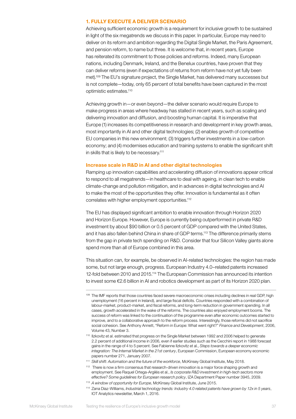#### 1. FULLY EXECUTE A DELIVER SCENARIO

Achieving sufficient economic growth is a requirement for inclusive growth to be sustained in light of the six megatrends we discuss in this paper. In particular, Europe may need to deliver on its reform and ambition regarding the Digital Single Market, the Paris Agreement, and pension reform, to name but three. It is welcome that, in recent years, Europe has reiterated its commitment to those policies and reforms. Indeed, many European nations, including Denmark, Ireland, and the Benelux countries, have proven that they can deliver reforms (even if expectations of returns from reform have not yet fully been met).109 The EU's signature project, the Single Market, has delivered many successes but is not complete—today, only 65 percent of total benefits have been captured in the most optimistic estimates.110

Achieving growth in—or even beyond—the deliver scenario would require Europe to make progress in areas where headway has stalled in recent years, such as scaling and delivering innovation and diffusion, and boosting human capital. It is imperative that Europe (1) increases its competitiveness in research and development in key growth areas, most importantly in AI and other digital technologies; (2) enables growth of competitive EU companies in this new environment; (3) triggers further investments in a low-carbon economy; and (4) modernises education and training systems to enable the significant shift in skills that is likely to be necessary.<sup>111</sup>

#### Increase scale in R&D in AI and other digital technologies

Ramping up innovation capabilities and accelerating diffusion of innovations appear critical to respond to all megatrends—in healthcare to deal with ageing, in clean tech to enable climate-change and pollution mitigation, and in advances in digital technologies and AI to make the most of the opportunities they offer. Innovation is fundamental as it often correlates with higher employment opportunities.<sup>112</sup>

The EU has displayed significant ambition to enable innovation through Horizon 2020 and Horizon Europe. However, Europe is currently being outperformed in private R&D investment by about \$90 billion or 0.5 percent of GDP compared with the United States, and it has also fallen behind China in share of GDP terms.<sup>113</sup> The difference primarily stems from the gap in private tech spending on R&D. Consider that four Silicon Valley giants alone spend more than all of Europe combined in this area.

This situation can, for example, be observed in AI-related technologies: the region has made some, but not large enough, progress. European Industry 4.0–related patents increased 12-fold between 2010 and 2015.114 The European Commission has announced its intention to invest some €2.6 billion in AI and robotics development as part of its Horizon 2020 plan.

- <sup>111</sup> *Skill shift: Automation and the future of the workforce*, McKinsey Global Institute, May 2018.
- <sup>112</sup> There is now a firm consensus that research-driven innovation is a major force shaping growth and employment. See Raquel Ortega-Argilés et al., *Is corporate R&D investment in high-tech sectors more effective? Some guidelines for European research policy*, IZA Department Paper number 3945, 2009.
- <sup>113</sup> *A window of opportunity for Europe*, McKinsey Global Institute, June 2015.

<sup>109</sup> The IMF reports that those countries faced severe macroeconomic crises including declines in real GDP, high unemployment (16 percent in Ireland), and large fiscal deficits. Countries responded with a combination of labour-market, product-market, and fiscal reforms, and long-term reduction in government spending. In all cases, growth accelerated in the wake of the reforms. The countries also enjoyed employment booms. The success of reform was linked to the continuation of the programme even after economic outcomes started to improve, and to a collaborative approach to the reform process. Interestingly, those reforms did not sacrifice social cohesion. See Anthony Annett, "Reform in Europe: What went right?" *Finance and Development*, 2006, Volume 43, Number 3.

<sup>110</sup> Ilzkovitz et al. estimated that progress on the Single Market between 1992 and 2006 helped to generate 2.2 percent of additional income in 2006, even if earlier studies such as the Cecchini report in 1988 forecast gains in the range of 4 to 5 percent. See Fabienne Ilzkovitz et al., *Steps towards a deeper economic integration: The Internal Market in the 21st century*, European Commission, European economy economic papers number 271, January 2007.

<sup>114</sup> Zana Diaz-Williams, *Industrial technology trends: Industry 4.0 related patents have grown by 12x in 5 years*, IOT Analytics newsletter, March 1, 2016.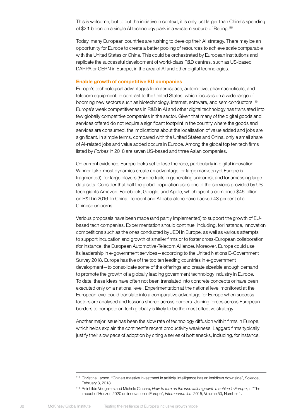This is welcome, but to put the initiative in context, it is only just larger than China's spending of \$2.1 billion on a single AI technology park in a western suburb of Beijing.115

Today, many European countries are rushing to develop their AI strategy. There may be an opportunity for Europe to create a better pooling of resources to achieve scale comparable with the United States or China. This could be orchestrated by European institutions and replicate the successful development of world-class R&D centres, such as US-based DARPA or CERN in Europe, in the area of AI and other digital technologies.

#### Enable growth of competitive EU companies

Europe's technological advantages lie in aerospace, automotive, pharmaceuticals, and telecom equipment, in contrast to the United States, which focuses on a wide range of booming new sectors such as biotechnology, internet, software, and semiconductors.116 Europe's weak competitiveness in R&D in AI and other digital technology has translated into few globally competitive companies in the sector. Given that many of the digital goods and services offered do not require a significant footprint in the country where the goods and services are consumed, the implications about the localisation of value added and jobs are significant. In simple terms, compared with the United States and China, only a small share of AI-related jobs and value added occurs in Europe. Among the global top ten tech firms listed by *Forbes* in 2018 are seven US-based and three Asian companies.

On current evidence, Europe looks set to lose the race, particularly in digital innovation. Winner-take-most dynamics create an advantage for large markets (yet Europe is fragmented), for large players (Europe trails in generating unicorns), and for amassing large data sets. Consider that half the global population uses one of the services provided by US tech giants Amazon, Facebook, Google, and Apple, which spent a combined \$46 billion on R&D in 2016. In China, Tencent and Alibaba alone have backed 43 percent of all Chinese unicorns.

Various proposals have been made (and partly implemented) to support the growth of EUbased tech companies. Experimentation should continue, including, for instance, innovation competitions such as the ones conducted by JEDI in Europe, as well as various attempts to support incubation and growth of smaller firms or to foster cross-European collaboration (for instance, the European Automotive-Telecom Alliance). Moreover, Europe could use its leadership in e-government services—according to the United Nations E-Government Survey 2018, Europe has five of the top ten leading countries in e-government development—to consolidate some of the offerings and create sizeable enough demand to promote the growth of a globally leading government technology industry in Europe. To date, these ideas have often not been translated into concrete concepts or have been executed only on a national level. Experimentation at the national level monitored at the European level could translate into a comparative advantage for Europe when success factors are analysed and lessons shared across borders. Joining forces across European borders to compete on tech globally is likely to be the most effective strategy.

Another major issue has been the slow rate of technology diffusion within firms in Europe, which helps explain the continent's recent productivity weakness. Laggard firms typically justify their slow pace of adoption by citing a series of bottlenecks, including, for instance,

<sup>115</sup> Christina Larson, "China's massive investment in artificial intelligence has an insidious downside", *Science*, February 8, 2018.

<sup>116</sup> Reinhilde Veugelers and Michele Cincera, *How to turn on the innovation growth machine in Europe*, in "The impact of Horizon 2020 on innovation in Europe", *Intereconomics*, 2015, Volume 50, Number 1.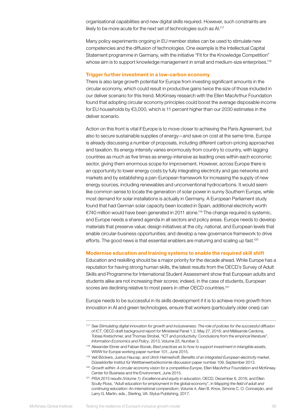organisational capabilities and new digital skills required. However, such constraints are likely to be more acute for the next set of technologies such as Al.<sup>117</sup>

Many policy experiments ongoing in EU member states can be used to stimulate new competencies and the diffusion of technologies. One example is the Intellectual Capital Statement programme in Germany, with the initiative "Fit for the Knowledge Competition" whose aim is to support knowledge management in small and medium-size enterprises.<sup>118</sup>

#### Trigger further investment in a low-carbon economy

There is also large growth potential for Europe from investing significant amounts in the circular economy, which could result in productive gains twice the size of those included in our deliver scenario for this trend. McKinsey research with the Ellen MacArthur Foundation found that adopting circular economy principles could boost the average disposable income for EU households by €3,000, which is 11 percent higher than our 2030 estimates in the deliver scenario.

Action on this front is vital if Europe is to move closer to achieving the Paris Agreement, but also to secure sustainable supplies of energy—and save on cost at the same time. Europe is already discussing a number of proposals, including different carbon-pricing approaches and taxation. Its energy intensity varies enormously from country to country, with lagging countries as much as five times as energy-intensive as leading ones within each economic sector, giving them enormous scope for improvement. However, across Europe there is an opportunity to lower energy costs by fully integrating electricity and gas networks and markets and by establishing a pan-European framework for increasing the supply of new energy sources, including renewables and unconventional hydrocarbons. It would seem like common sense to locate the generation of solar power in sunny Southern Europe, while most demand for solar installations is actually in Germany. A European Parliament study found that had German solar capacity been located in Spain, additional electricity worth €740 million would have been generated in 2011 alone.119 The change required is systemic, and Europe needs a shared agenda in all sectors and policy areas. Europe needs to develop materials that preserve value; design initiatives at the city, national, and European levels that enable circular-business opportunities; and develop a new governance framework to drive efforts. The good news is that essential enablers are maturing and scaling up fast.<sup>120</sup>

#### Modernise education and training systems to enable the required skill shift

Education and reskilling should be a major priority for the decade ahead. While Europe has a reputation for having strong human skills, the latest results from the OECD's Survey of Adult Skills and Programme for International Student Assessment show that European adults and students alike are not increasing their scores; indeed, in the case of students, European scores are declining relative to most peers in other OECD countries.<sup>121</sup>

Europe needs to be successful in its skills development if it is to achieve more growth from innovation in AI and green technologies, ensure that workers (particularly older ones) can

- <sup>119</sup> Veit Böckers, Justus Haucap, and Ulrich Heimeshoff, *Benefits of an integrated European electricity market*, Düsseldorfer Institut für Wettberwerbsökonomie discussion paper number 109, September 2013.
- <sup>120</sup> *Growth within: A circular economy vision for a competitive Europe*, Ellen MacArthur Foundation and McKinsey Center for Business and the Environment, June 2015.

<sup>117</sup> See *Stimulating digital innovation for growth and inclusiveness: The role of policies for the successful diffusion of ICT*, OECD draft background report for Ministerial Panel 1.2, May 27, 2016; and Mélisande Cardona, Tobias Kretschmer, and Thomas Strobel, "ICT and productivity: Conclusions from the empirical literature", *Information Economics and Policy*, 2013, Volume 25, Number 3.

<sup>118</sup> Alexander Ebner and Fabian Bocek, *Best practices as to how to support investment in intangible assets*, WWW for Europe working paper number 101, June 2015.

<sup>121</sup> *PISA 2015 results (Volume 1): Excellence and equity in education*, OECD, December 6, 2016; and Ellen Scully-Ross, "Adult education for employment in the global economy", in *Mapping the field of adult and continuing education: An international compendium*, Volume 4, Alan B. Knox, Simone C. O. Conceição, and Larry G. Martin, eds., Sterling, VA: Stylus Publishing, 2017.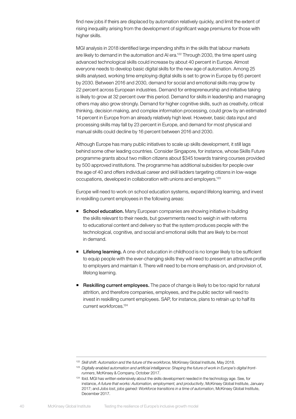find new jobs if theirs are displaced by automation relatively quickly, and limit the extent of rising inequality arising from the development of significant wage premiums for those with higher skills.

MGI analysis in 2018 identified large impending shifts in the skills that labour markets are likely to demand in the automation and AI era.<sup>122</sup> Through 2030, the time spent using advanced technological skills could increase by about 40 percent in Europe. Almost everyone needs to develop basic digital skills for the new age of automation. Among 25 skills analysed, working time employing digital skills is set to grow in Europe by 65 percent by 2030. Between 2016 and 2030, demand for social and emotional skills may grow by 22 percent across European industries. Demand for entrepreneurship and initiative taking is likely to grow at 32 percent over this period. Demand for skills in leadership and managing others may also grow strongly. Demand for higher cognitive skills, such as creativity, critical thinking, decision making, and complex information processing, could grow by an estimated 14 percent in Europe from an already relatively high level. However, basic data input and processing skills may fall by 23 percent in Europe, and demand for most physical and manual skills could decline by 16 percent between 2016 and 2030.

Although Europe has many public initiatives to scale up skills development, it still lags behind some other leading countries. Consider Singapore, for instance, whose Skills Future programme grants about two million citizens about \$345 towards training courses provided by 500 approved institutions. The programme has additional subsidies for people over the age of 40 and offers individual career and skill ladders targeting citizens in low-wage occupations, developed in collaboration with unions and employers.123

Europe will need to work on school education systems, expand lifelong learning, and invest in reskilling current employees in the following areas:

- School education. Many European companies are showing initiative in building the skills relevant to their needs, but governments need to weigh in with reforms to educational content and delivery so that the system produces people with the technological, cognitive, and social and emotional skills that are likely to be most in demand.
- **Lifelong learning.** A one-shot education in childhood is no longer likely to be sufficient to equip people with the ever-changing skills they will need to present an attractive profile to employers and maintain it. There will need to be more emphasis on, and provision of, lifelong learning.
- Reskilling current employees. The pace of change is likely to be too rapid for natural attrition, and therefore companies, employees, and the public sector will need to invest in reskilling current employees. SAP, for instance, plans to retrain up to half its current workforces.124

<sup>122</sup> *Skill shift: Automation and the future of the workforce*, McKinsey Global Institute, May 2018.

<sup>&</sup>lt;sup>123</sup> Digitally enabled automation and artificial intelligence: Shaping the future of work in Europe's digital front*runners*, McKinsey & Company, October 2017.

<sup>124</sup> Ibid. MGI has written extensively about the skills development needed in the technology age. See, for instance, *A future that works: Automation, employment, and productivity*, McKinsey Global Institute, January 2017; and *Jobs lost, jobs gained: Workforce transitions in a time of automation*, McKinsey Global Institute, December 2017.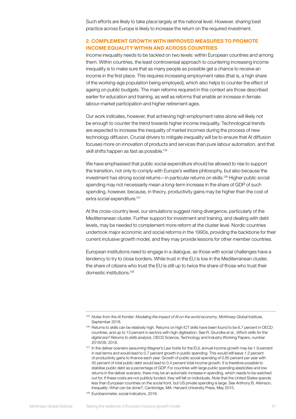Such efforts are likely to take place largely at the national level. However, sharing best practice across Europe is likely to increase the return on the required investment.

# 2. COMPLEMENT GROWTH WITH IMPROVED MEASURES TO PROMOTE INCOME EQUALITY WITHIN AND ACROSS COUNTRIES

Income inequality needs to be tackled on two levels: within European countries and among them. Within countries, the least controversial approach to countering increasing income inequality is to make sure that as many people as possible get a chance to receive an income in the first place. This requires increasing employment rates (that is, a high share of the working-age population being employed), which also helps to counter the effect of ageing on public budgets. The main reforms required in this context are those described earlier for education and training, as well as reforms that enable an increase in female labour-market participation and higher retirement ages.

Our work indicates, however, that achieving high employment rates alone will likely not be enough to counter the trend towards higher income inequality. Technological trends are expected to increase the inequality of market incomes during the process of new technology diffusion. Crucial drivers to mitigate inequality will be to ensure that AI diffusion focuses more on innovation of products and services than pure labour automation, and that skill shifts happen as fast as possible.<sup>125</sup>

We have emphasised that public social expenditure should be allowed to rise to support the transition, not only to comply with Europe's welfare philosophy, but also because the investment has strong social returns—in particular returns on skills.126 Higher public social spending may not necessarily mean a long-term increase in the share of GDP of such spending, however, because, in theory, productivity gains may be higher than the cost of extra social expenditure.<sup>127</sup>

At the cross-country level, our simulations suggest rising divergence, particularly of the Mediterranean cluster. Further support for investment and training, and dealing with debt levels, may be needed to complement more reform at the cluster level. Nordic countries undertook major economic and social reforms in the 1990s, providing the backbone for their current inclusive growth model, and they may provide lessons for other member countries.

European institutions need to engage in a dialogue, as those with social challenges have a tendency to try to close borders. While trust in the EU is low in the Mediterranean cluster, the share of citizens who trust the EU is still up to twice the share of those who trust their domestic institutions.128

<sup>125</sup> *Notes from the AI frontier: Modeling the impact of AI on the world economy*, McKinsey Global Institute, September 2018.

<sup>126</sup> Returns to skills can be relatively high. Returns on high ICT skills have been found to be 8.7 percent in OECD countries, and up to 13 percent in sectors with high digitisation. See R. Grundke et al., *Which skills for the digital era? Returns to skills analysis*, OECD Science, Technology and Industry Working Papers, number 2018/09, 2018.

<sup>127</sup> In the deliver scenario (assuming Wagner's Law holds for the EU), annual income growth may be 1.9 percent in real terms and would lead to 0.7 percent growth in public spending. This would still leave 1.2 percent of productivity gains to finance each year. Growth of public social spending of 0.85 percent per year with 45 percent of total public debt would lead to 0.4 percent total income growth. It is therefore possible to stabilise public debt as a percentage of GDP. For countries with large public spending elasticities and low returns in the deliver scenario, there may be an automatic increase in spending, which needs to be watched out for. If these costs are not publicly funded, they will fall on individuals. Note that the United States spends less than European countries on the social front, but US private spending is large. See Anthony B. Atkinson, *Inequality: What can be done?*, Cambridge, MA: Harvard University Press, May 2015.

<sup>128</sup> Eurobarometer, social indicators, 2016.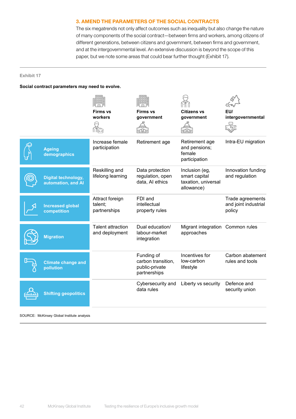# 3. AMEND THE PARAMETERS OF THE SOCIAL CONTRACTS

The six megatrends not only affect outcomes such as inequality but also change the nature of many components of the social contract—between firms and workers, among citizens of different generations, between citizens and government, between firms and government, and at the intergovernmental level. An extensive discussion is beyond the scope of this paper, but we note some areas that could bear further thought (Exhibit 17).

#### **Exhibit 17**

# **Social contract parameters may need to evolve.**

|                                                  | <b>Firms</b> vs<br>workers                 | <b>Firms vs</b><br>government                                      | Citizens vs<br>government<br>ਜ਼ਿਜ਼                                     | EU/<br>intergovernmental                           |
|--------------------------------------------------|--------------------------------------------|--------------------------------------------------------------------|------------------------------------------------------------------------|----------------------------------------------------|
| <b>Ageing</b><br>demographics                    | Increase female<br>participation           | lin Anii<br>Retirement age                                         | lin Anii<br>Retirement age<br>and pensions;<br>female<br>participation | Intra-EU migration                                 |
| <b>Digital technology,</b><br>automation, and Al | Reskilling and<br>lifelong learning        | Data protection<br>regulation, open<br>data, AI ethics             | Inclusion (eg,<br>smart capital<br>taxation, universal<br>allowance)   | Innovation funding<br>and regulation               |
| <b>Increased global</b><br>competition           | Attract foreign<br>talent;<br>partnerships | FDI and<br>intellectual<br>property rules                          |                                                                        | Trade agreements<br>and joint industrial<br>policy |
| <b>Migration</b>                                 | <b>Talent attraction</b><br>and deployment | Dual education/<br>labour-market<br>integration                    | Migrant integration Common rules<br>approaches                         |                                                    |
| <b>Climate change and</b><br>pollution           |                                            | Funding of<br>carbon transition,<br>public-private<br>partnerships | Incentives for<br>low-carbon<br>lifestyle                              | Carbon abatement<br>rules and tools                |
| <b>Shifting geopolitics</b>                      |                                            | Cybersecurity and<br>data rules                                    | Liberty vs security                                                    | Defence and<br>security union                      |
|                                                  |                                            |                                                                    |                                                                        |                                                    |

SOURCE: McKinsey Global Institute analysis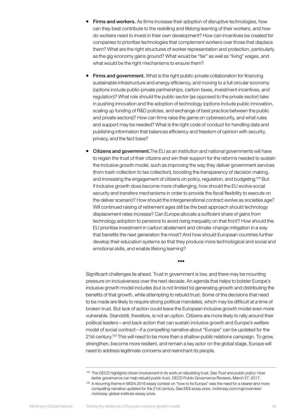- Firms and workers. As firms increase their adoption of disruptive technologies, how can they best contribute to the reskilling and lifelong learning of their workers, and how do workers need to invest in their own development? How can incentives be created for companies to prioritise technologies that complement workers over those that displace them? What are the right structures of worker representation and protection, particularly as the gig economy gains ground? What would be "fair" as well as "living" wages, and what would be the right mechanisms to ensure them?
- Firms and government. What is the right public-private collaboration for financing sustainable infrastructure and energy efficiency, and moving to a full circular economy (options include public-private partnerships, carbon taxes, investment incentives, and regulation)? What role should the public sector (as opposed to the private sector) take in pushing innovation and the adoption of technology (options include public innovation, scaling up funding of R&D policies, and exchange of best practice between the public and private sectors)? How can firms raise the game on cybersecurity, and what rules and support may be needed? What is the right code of conduct for handling data and publishing information that balances efficiency and freedom of opinion with security, privacy, and the fact base?
- Citizens and government.The EU as an institution and national governments will have to regain the trust of their citizens and win their support for the reforms needed to sustain the inclusive growth model, such as improving the way they deliver government services (from trash collection to tax collection), boosting the transparency of decision making, and increasing the engagement of citizens on policy, regulation, and budgeting.129 But if inclusive growth does become more challenging, how should the EU evolve social security and transfers mechanisms in order to provide the fiscal flexibility to execute on the deliver scenario? How should the intergenerational contract evolve as societies age? Will continued raising of retirement ages still be the best approach should technology displacement rates increase? Can Europe allocate a sufficient share of gains from technology adoption to pensions to avoid rising inequality on that front? How should the EU prioritise investment in carbon abatement and climate-change mitigation in a way that benefits the next generation the most? And how should European countries further develop their education systems so that they produce more technological and social and emotional skills, and enable lifelong learning?

Significant challenges lie ahead. Trust in government is low, and there may be mounting pressure on inclusiveness over the next decade. An agenda that helps to bolster Europe's inclusive growth model includes (but is not limited to) generating growth and distributing the benefits of that growth, while attempting to rebuild trust. Some of the decisions that need to be made are likely to require strong political mandates, which may be difficult at a time of broken trust. But lack of action could leave the European inclusive growth model even more vulnerable. Standstill, therefore, is not an option. Citizens are more likely to rally around their political leaders—and back action that can sustain inclusive growth and Europe's welfare model of social contract—if a compelling narrative about "Europe" can be updated for the 21st century.130 This will need to be more than a shallow public relations campaign. To grow, strengthen, become more resilient, and remain a key actor on the global stage, Europe will need to address legitimate concerns and reenchant its people.

•••

<sup>129</sup> The OECD highlights citizen involvement in its work on rebuilding trust. See *Trust and public policy: How better governance can help rebuild public trust*, OECD Public Governance Reviews, March 27, 2017.

<sup>130</sup> A recurring theme in MGI's 2016 essay contest on "how to fix Europe" was the need for a clearer and more compelling narrative updated for the 21st century. See *MGI essay prize*, mckinsey.com/mgi/overview/ mckinsey-global-institute-essay-prize.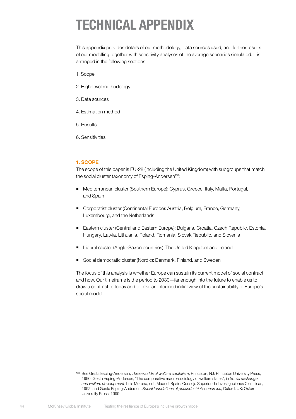# <span id="page-47-0"></span>TECHNICAL APPENDIX

This appendix provides details of our methodology, data sources used, and further results of our modelling together with sensitivity analyses of the average scenarios simulated. It is arranged in the following sections:

- 1. Scope
- 2. High-level methodology
- 3. Data sources
- 4. Estimation method
- 5. Results
- 6. Sensitivities

# 1. SCOPE

The scope of this paper is EU-28 (including the United Kingdom) with subgroups that match the social cluster taxonomy of Esping-Andersen<sup>131</sup>:

- Mediterranean cluster (Southern Europe): Cyprus, Greece, Italy, Malta, Portugal, and Spain
- Corporatist cluster (Continental Europe): Austria, Belgium, France, Germany, Luxembourg, and the Netherlands
- Eastern cluster (Central and Eastern Europe): Bulgaria, Croatia, Czech Republic, Estonia, Hungary, Latvia, Lithuania, Poland, Romania, Slovak Republic, and Slovenia
- **Liberal cluster (Anglo-Saxon countries): The United Kingdom and Ireland**
- Social democratic cluster (Nordic): Denmark, Finland, and Sweden

The focus of this analysis is whether Europe can sustain its current model of social contract, and how. Our timeframe is the period to 2030—far enough into the future to enable us to draw a contrast to today and to take an informed initial view of the sustainability of Europe's social model.

<sup>131</sup> See Gøsta Esping-Andersen, *Three worlds of welfare capitalism*, Princeton, NJ: Princeton University Press, 1990; Gøsta Esping-Andersen, "The comparative macro-sociology of welfare states", in *Social exchange and welfare development*, Luis Moreno, ed., Madrid, Spain: Consejo Superior de Investigaciones Cientificas, 1992; and Gøsta Esping-Andersen, *Social foundations of postindustrial economies*, Oxford, UK: Oxford University Press, 1999.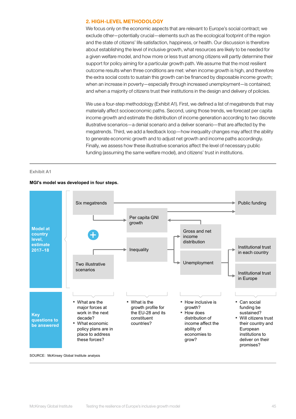# 2. HIGH-LEVEL METHODOLOGY

We focus only on the economic aspects that are relevant to Europe's social contract; we exclude other—potentially crucial—elements such as the ecological footprint of the region and the state of citizens' life satisfaction, happiness, or health. Our discussion is therefore about establishing the level of inclusive growth, what resources are likely to be needed for a given welfare model, and how more or less trust among citizens will partly determine their support for policy aiming for a particular growth path. We assume that the most resilient outcome results when three conditions are met: when income growth is high, and therefore the extra social costs to sustain this growth can be financed by disposable income growth; when an increase in poverty—especially through increased unemployment—is contained; and when a majority of citizens trust their institutions in the design and delivery of policies.

We use a four-step methodology (Exhibit A1). First, we defined a list of megatrends that may materially affect socioeconomic paths. Second, using those trends, we forecast per capita income growth and estimate the distribution of income generation according to two discrete illustrative scenarios—a denial scenario and a deliver scenario—that are affected by the megatrends. Third, we add a feedback loop—how inequality changes may affect the ability to generate economic growth and to adjust net growth and income paths accordingly. Finally, we assess how these illustrative scenarios affect the level of necessary public funding (assuming the same welfare model), and citizens' trust in institutions.

#### **Exhibit A1**

#### **MGI's model was developed in four steps.**

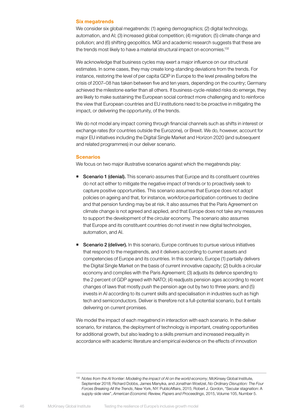# Six megatrends

We consider six global megatrends: (1) ageing demographics; (2) digital technology, automation, and AI; (3) increased global competition; (4) migration; (5) climate change and pollution; and (6) shifting geopolitics. MGI and academic research suggests that these are the trends most likely to have a material structural impact on economies.<sup>132</sup>

We acknowledge that business cycles may exert a major influence on our structural estimates. In some cases, they may create long-standing deviations from the trends. For instance, restoring the level of per capita GDP in Europe to the level prevailing before the crisis of 2007–08 has taken between five and ten years, depending on the country; Germany achieved the milestone earlier than all others. If business-cycle-related risks do emerge, they are likely to make sustaining the European social contract more challenging and to reinforce the view that European countries and EU institutions need to be proactive in mitigating the impact, or delivering the opportunity, of the trends.

We do not model any impact coming through financial channels such as shifts in interest or exchange rates (for countries outside the Eurozone), or Brexit. We do, however, account for major EU initiatives including the Digital Single Market and Horizon 2020 (and subsequent and related programmes) in our deliver scenario.

# Scenarios

We focus on two major illustrative scenarios against which the megatrends play:

- **Scenario 1 (denial).** This scenario assumes that Europe and its constituent countries do not act either to mitigate the negative impact of trends or to proactively seek to capture positive opportunities. This scenario assumes that Europe does not adopt policies on ageing and that, for instance, workforce participation continues to decline and that pension funding may be at risk. It also assumes that the Paris Agreement on climate change is not agreed and applied, and that Europe does not take any measures to support the development of the circular economy. The scenario also assumes that Europe and its constituent countries do not invest in new digital technologies, automation, and AI.
- Scenario 2 (deliver). In this scenario, Europe continues to pursue various initiatives that respond to the megatrends, and it delivers according to current assets and competencies of Europe and its countries. In this scenario, Europe (1) partially delivers the Digital Single Market on the basis of current innovative capacity; (2) builds a circular economy and complies with the Paris Agreement; (3) adjusts its defence spending to the 2 percent of GDP agreed with NATO; (4) readjusts pension ages according to recent changes of laws that mostly push the pension age out by two to three years; and (5) invests in AI according to its current skills and specialisation in industries such as high tech and semiconductors. Deliver is therefore not a full-potential scenario, but it entails delivering on current promises.

We model the impact of each megatrend in interaction with each scenario. In the deliver scenario, for instance, the deployment of technology is important, creating opportunities for additional growth, but also leading to a skills premium and increased inequality in accordance with academic literature and empirical evidence on the effects of innovation

<sup>132</sup> *Notes from the AI frontier: Modeling the impact of AI on the world economy*, McKinsey Global Institute, September 2018; Richard Dobbs, James Manyika, and Jonathan Woetzel, *No Ordinary Disruption: The Four Forces Breaking All the Trends*, New York, NY: PublicAffairs, 2015; Robert J. Gordon, "Secular stagnation: A supply-side view", *American Economic Review, Papers and Proceedings*, 2015, Volume 105, Number 5.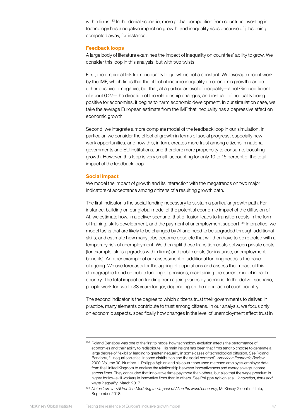within firms.<sup>133</sup> In the denial scenario, more global competition from countries investing in technology has a negative impact on growth, and inequality rises because of jobs being competed away, for instance.

#### Feedback loops

A large body of literature examines the impact of inequality on countries' ability to grow. We consider this loop in this analysis, but with two twists.

First, the empirical link from inequality to growth is not a constant. We leverage recent work by the IMF, which finds that the effect of income inequality on economic growth can be either positive or negative, but that, at a particular level of inequality—a net Gini coefficient of about 0.27—the direction of the relationship changes, and instead of inequality being positive for economies, it begins to harm economic development. In our simulation case, we take the average European estimate from the IMF that inequality has a depressive effect on economic growth.

Second, we integrate a more complete model of the feedback loop in our simulation. In particular, we consider the effect of growth in terms of social progress, especially new work opportunities, and how this, in turn, creates more trust among citizens in national governments and EU institutions, and therefore more propensity to consume, boosting growth. However, this loop is very small, accounting for only 10 to 15 percent of the total impact of the feedback loop.

## Social impact

We model the impact of growth and its interaction with the megatrends on two major indicators of acceptance among citizens of a resulting growth path.

The first indicator is the social funding necessary to sustain a particular growth path. For instance, building on our global model of the potential economic impact of the diffusion of AI, we estimate how, in a deliver scenario, that diffusion leads to transition costs in the form of training, skills development, and the payment of unemployment support.134 In practice, we model tasks that are likely to be changed by AI and need to be upgraded through additional skills, and estimate how many jobs become obsolete that will then have to be retooled with a temporary risk of unemployment. We then split these transition costs between private costs (for example, skills upgrades within firms) and public costs (for instance, unemployment benefits). Another example of our assessment of additional funding needs is the case of ageing. We use forecasts for the ageing of populations and assess the impact of this demographic trend on public funding of pensions, maintaining the current model in each country. The total impact on funding from ageing varies by scenario. In the deliver scenario, people work for two to 33 years longer, depending on the approach of each country.

The second indicator is the degree to which citizens trust their governments to deliver. In practice, many elements contribute to trust among citizens. In our analysis, we focus only on economic aspects, specifically how changes in the level of unemployment affect trust in

<sup>133</sup> Roland Benabou was one of the first to model how technology evolution affects the performance of economies and their ability to redistribute. His main insight has been that firms tend to choose to generate a large degree of flexibility, leading to greater inequality in some cases of technological diffusion. See Roland Benabou, "Unequal societies: Income distribution and the social contract", *American Economic Review*, 2000, Volume 90, Number 1. Philippe Aghion and his co-authors used matched employee-employer data from the United Kingdom to analyse the relationship between innovativeness and average wage income across firms. They concluded that innovative firms pay more than others, but also that the wage premium is higher for low-skill workers in innovative firms than in others. See Philippe Aghion et al., *Innovation, firms and wage inequality*, March 2017.

<sup>&</sup>lt;sup>134</sup> Notes from the AI frontier: Modeling the impact of AI on the world economy, McKinsey Global Institute, September 2018.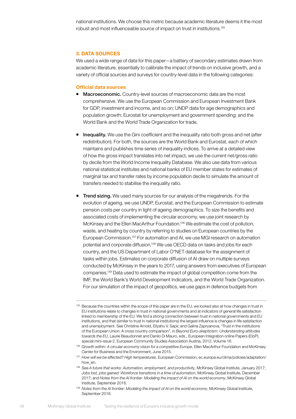national institutions. We choose this metric because academic literature deems it the most robust and most influenceable source of impact on trust in institutions.135

# 3. DATA SOURCES

We used a wide range of data for this paper—a battery of secondary estimates drawn from academic literature, essentially to calibrate the impact of trends on inclusive growth, and a variety of official sources and surveys for country-level data in the following categories:

## Official data sources

- **Macroeconomic.** Country-level sources of macroeconomic data are the most comprehensive. We use the European Commission and European Investment Bank for GDP, investment and income, and so on; UNDP data for age demographics and population growth; Eurostat for unemployment and government spending; and the World Bank and the World Trade Organization for trade.
- **Inequality.** We use the Gini coefficient and the inequality ratio both gross and net (after redistribution). For both, the sources are the World Bank and Eurostat, each of which maintains and publishes time series of inequality indices. To arrive at a detailed view of how the gross impact translates into net impact, we use the current net/gross ratio by decile from the World Income Inequality Database. We also use data from various national statistical institutes and national banks of EU member states for estimates of marginal tax and transfer rates by income population decile to simulate the amount of transfers needed to stabilise the inequality ratio.
- Trend sizing. We used many sources for our analysis of the megatrends. For the evolution of ageing, we use UNDP, Eurostat, and the European Commission to estimate pension costs per country in light of ageing demographics. To size the benefits and associated costs of implementing the circular economy, we use joint research by McKinsey and the Ellen MacArthur Foundation.136 We estimate the cost of pollution, waste, and heating by country by referring to studies on European countries by the European Commission.137 For automation and AI, we use MGI research on automation potential and corporate diffusion.138 We use OECD data on tasks and jobs for each country, and the US Department of Labor O\*NET database for the assignment of tasks within jobs. Estimates on corporate diffusion of AI draw on multiple surveys conducted by McKinsey in the years to 2017, using answers from executives of European companies.139 Data used to estimate the impact of global competition come from the IMF, the World Bank's World Development Indicators, and the World Trade Organization. For our simulation of the impact of geopolitics, we use gaps in defence budgets from

<sup>135</sup> Because the countries within the scope of this paper are in the EU, we looked also at how changes in trust in EU institutions relate to changes in trust in national governments and at indicators of general life satisfaction linked to membership of the EU. We find a strong connection between trust in national governments and EU institutions, and that (similar to trust in national institutions) the largest influence is changes in life satisfaction and unemployment. See Christine Arnold, Eliyahu V. Sapir, and Galina Zapryanova, "Trust in the institutions of the European Union: A cross country comparison", in *Beyond Euro-skepticism: Understanding attitudes towards the EU*, Laurie Beaudonnet and Danilo Di Mauro, eds., European Integration online Papers (EIoP), special mini-issue 2, European Community Studies Association Austria, 2012, Volume 16.

<sup>&</sup>lt;sup>136</sup> *Growth within: A circular economy vision for a competitive Europe*, Ellen MacArthur Foundation and McKinsey Center for Business and the Environment, June 2015.

<sup>137</sup> *How will we be affected? High temperatures*, European Commission, ec.europa.eu/clima/policies/adaptation/ how\_en.

<sup>138</sup> See A future that works: Automation, employment, and productivity, McKinsey Global Institute, January 2017; *Jobs lost, jobs gained: Workforce transitions in a time of automation*, McKinsey Global Institute, December 2017; and *Notes from the AI frontier: Modeling the impact of AI on the world economy*, McKinsey Global Institute, September 2018.

<sup>139</sup> *Notes from the AI frontier: Modeling the impact of AI on the world economy*, McKinsey Global Institute, September 2018.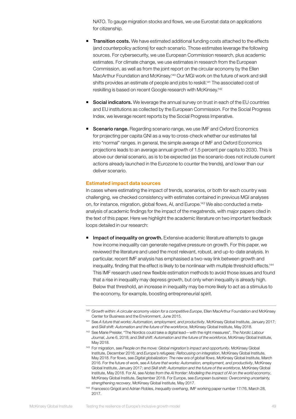NATO. To gauge migration stocks and flows, we use Eurostat data on applications for citizenship.

- Transition costs. We have estimated additional funding costs attached to the effects (and counterpolicy actions) for each scenario. Those estimates leverage the following sources. For cybersecurity, we use European Commission research, plus academic estimates. For climate change, we use estimates in research from the European Commission, as well as from the joint report on the circular economy by the Ellen MacArthur Foundation and McKinsey.140 Our MGI work on the future of work and skill shifts provides an estimate of people and jobs to reskill.<sup>141</sup> The associated cost of reskilling is based on recent Google research with McKinsey.142
- Social indicators. We leverage the annual survey on trust in each of the EU countries and EU institutions as collected by the European Commission. For the Social Progress Index, we leverage recent reports by the Social Progress Imperative.
- Scenario range. Regarding scenario range, we use IMF and Oxford Economics for projecting per capita GNI as a way to cross-check whether our estimates fall into "normal" ranges. in general, the simple average of IMF and Oxford Economics projections leads to an average annual growth of 1.5 percent per capita to 2030. This is above our denial scenario, as is to be expected (as the scenario does not include current actions already launched in the Eurozone to counter the trends), and lower than our deliver scenario.

## Estimated impact data sources

In cases where estimating the impact of trends, scenarios, or both for each country was challenging, we checked consistency with estimates contained in previous MGI analyses on, for instance, migration, global flows, AI, and Europe.<sup>143</sup> We also conducted a metaanalysis of academic findings for the impact of the megatrends, with major papers cited in the text of this paper. Here we highlight the academic literature on two important feedback loops detailed in our research:

**Impact of inequality on growth.** Extensive academic literature attempts to gauge how income inequality can generate negative pressure on growth. For this paper, we reviewed the literature and used the most relevant, robust, and up-to-date analysis. In particular, recent IMF analysis has emphasised a two-way link between growth and inequality, finding that the effect is likely to be nonlinear with multiple threshold effects.144 This IMF research used new flexible estimation methods to avoid those issues and found that a rise in inequality may depress growth, but only when inequality is already high. Below that threshold, an increase in inequality may be more likely to act as a stimulus to the economy, for example, boosting entrepreneurial spirit.

<sup>140</sup> *Growth within: A circular economy vision for a competitive Europe*, Ellen MacArthur Foundation and McKinsey Center for Business and the Environment, June 2015.

<sup>141</sup> See *A future that works: Automation, employment, and productivity*, McKinsey Global Institute, January 2017; and *Skill shift: Automation and the future of the workforce*, McKinsey Global Institute, May 2018.

<sup>142</sup> See Marie Preisler, "The Nordics could take a digital lead—with the right measures", *The Nordic Labour Journal*, June 6, 2018; and *Skill shift: Automation and the future of the workforce*, McKinsey Global Institute, May 2018.

<sup>143</sup> For migration, see *People on the move: Global migration's impact and opportunity*, McKinsey Global Institute, December 2016; and *Europe's refugees: Refocusing on integration*, McKinsey Global Institute, May 2018. For flows, see *Digital globalization: The new era of global flows*, McKinsey Global Institute, March 2016. For the future of work, see *A future that works: Automation, employment, and productivity*, McKinsey Global Institute, January 2017; and *Skill shift: Automation and the future of the workforce*, McKinsey Global Institute, May 2018. For AI, see *Notes from the AI frontier: Modeling the impact of AI on the world economy*, McKinsey Global Institute, September 2018. For Europe, see *European business: Overcoming uncertainty, strengthening recovery*, McKinsey Global Institute, May 2017.

<sup>144</sup> Francesco Grigoli and Adrian Robles, *Inequality overhang*, IMF working paper number 17/76, March 28, 2017.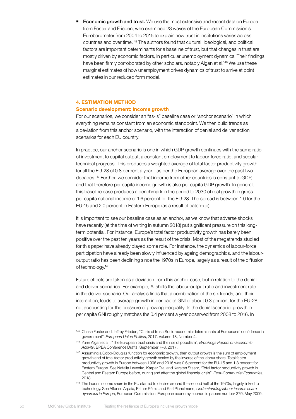**Economic growth and trust.** We use the most extensive and recent data on Europe from Foster and Frieden, who examined 23 waves of the European Commission's Eurobarometer from 2004 to 2015 to explain how trust in institutions varies across countries and over time.145 The authors found that cultural, ideological, and political factors are important determinants for a baseline of trust, but that changes in trust are mostly driven by economic factors, in particular unemployment dynamics. Their findings have been firmly corroborated by other scholars, notably Algan et al.<sup>146</sup> We use these marginal estimates of how unemployment drives dynamics of trust to arrive at point estimates in our reduced form model.

# 4. ESTIMATION METHOD

## Scenario development: Income growth

For our scenarios, we consider an "as-is" baseline case or "anchor scenario" in which everything remains constant from an economic standpoint. We then build trends as a deviation from this anchor scenario, with the interaction of denial and deliver action scenarios for each EU country.

In practice, our anchor scenario is one in which GDP growth continues with the same ratio of investment to capital output, a constant employment to labour-force ratio, and secular technical progress. This produces a weighted average of total factor productivity growth for all the EU-28 of 0.8 percent a year—as per the European average over the past two decades.147 Further, we consider that income from other countries is constant to GDP, and that therefore per capita income growth is also per capita GDP growth. In general, this baseline case produces a benchmark in the period to 2030 of real growth in gross per capita national income of 1.6 percent for the EU-28. The spread is between 1.0 for the EU-15 and 2.0 percent in Eastern Europe (as a result of catch-up).

It is important to see our baseline case as an anchor, as we know that adverse shocks have recently (at the time of writing in autumn 2018) put significant pressure on this longterm potential. For instance, Europe's total factor productivity growth has barely been positive over the past ten years as the result of the crisis. Most of the megatrends studied for this paper have already played some role. For instance, the dynamics of labour-force participation have already been slowly influenced by ageing demographics, and the labouroutput ratio has been declining since the 1970s in Europe, largely as a result of the diffusion of technology.148

Future effects are taken as a deviation from this anchor case, but in relation to the denial and deliver scenarios. For example, AI shifts the labour-output ratio and investment rate in the deliver scenario. Our analysis finds that a combination of the six trends, and their interaction, leads to average growth in per capita GNI of about 0.3 percent for the EU-28, not accounting for the pressure of growing inequality. In the denial scenario, growth in per capita GNI roughly matches the 0.4 percent a year observed from 2008 to 2016. In

<sup>145</sup> Chase Foster and Jeffrey Frieden, "Crisis of trust: Socio-economic determinants of Europeans' confidence in government", *European Union Politics*, 2017, Volume 18, Number 4.

<sup>146</sup> Yann Algan et al., "The European trust crisis and the rise of populism", *Brookings Papers on Economic Activity*, BPEA Conference Drafts, September 7–8, 2017.

<sup>&</sup>lt;sup>147</sup> Assuming a Cobb-Douglas function for economic growth, then output growth is the sum of employment growth and of total factor productivity growth scaled by the inverse of the labour share. Total factor productivity growth in Europe between 1996 and 2016 was 0.6 percent for the EU-15 and 1.3 percent for Eastern Europe. See Natalia Levenko, Karpar Oja, and Karsten Staehr, "Total factor productivity growth in Central and Eastern Europe before, during and after the global financial crisis", *Post-Communist Economies*, 2018.

<sup>148</sup> The labour income share in the EU started to decline around the second half of the 1970s, largely linked to technology. See Alfonso Arpaia, Esther Pérez, and Karl Pichelmann, *Understanding labour income share dynamics in Europe*, European Commission, European economy economic papers number 379, May 2009.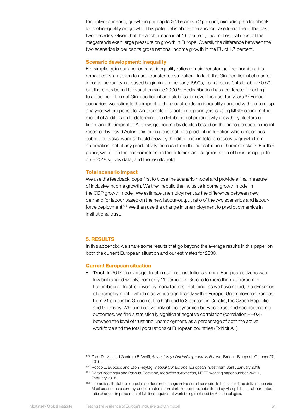the deliver scenario, growth in per capita GNI is above 2 percent, excluding the feedback loop of inequality on growth. This potential is above the anchor case trend line of the past two decades. Given that the anchor case is at 1.6 percent, this implies that most of the megatrends exert large pressure on growth in Europe. Overall, the difference between the two scenarios is per capita gross national income growth in the EU of 1.7 percent.

#### Scenario development: Inequality

For simplicity, in our anchor case, inequality ratios remain constant (all economic ratios remain constant, even tax and transfer redistribution). In fact, the Gini coefficient of market income inequality increased beginning in the early 1990s, from around 0.45 to above 0.50, but there has been little variation since 2000.<sup>149</sup> Redistribution has accelerated, leading to a decline in the net Gini coefficient and stabilisation over the past ten years.<sup>150</sup> For our scenarios, we estimate the impact of the megatrends on inequality coupled with bottom-up analyses where possible. An example of a bottom-up analysis is using MGI's econometric model of AI diffusion to determine the distribution of productivity growth by clusters of firms, and the impact of AI on wage income by deciles based on the principle used in recent research by David Autor. This principle is that, in a production function where machines substitute tasks, wages should grow by the difference in total productivity growth from automation, net of any productivity increase from the substitution of human tasks.<sup>151</sup> For this paper, we re-ran the econometrics on the diffusion and segmentation of firms using up-todate 2018 survey data, and the results hold.

#### Total scenario impact

We use the feedback loops first to close the scenario model and provide a final measure of inclusive income growth. We then rebuild the inclusive income growth model in the GDP growth model. We estimate unemployment as the difference between new demand for labour based on the new labour-output ratio of the two scenarios and labourforce deployment.152 We then use the change in unemployment to predict dynamics in institutional trust.

#### 5. RESULTS

In this appendix, we share some results that go beyond the average results in this paper on both the current European situation and our estimates for 2030.

#### Current European situation

Trust. In 2017, on average, trust in national institutions among European citizens was low but ranged widely, from only 11 percent in Greece to more than 70 percent in Luxembourg. Trust is driven by many factors, including, as we have noted, the dynamics of unemployment—which also varies significantly within Europe. Unemployment ranges from 21 percent in Greece at the high end to 3 percent in Croatia, the Czech Republic, and Germany. While indicative only of the dynamics between trust and socioeconomic outcomes, we find a statistically significant negative correlation (correlation  $= -0.4$ ) between the level of trust and unemployment, as a percentage of both the active workforce and the total populations of European countries (Exhibit A2).

<sup>149</sup> Zsolt Darvas and Guntram B. Wolff, *An anatomy of inclusive growth in Europe*, Bruegel Blueprint, October 27, 2016.

<sup>150</sup> Rocco L. Bubbico and Leon Freytag, *Inequality in Europe*, European Investment Bank, January 2018.

<sup>151</sup> Daron Acemoglu and Pascual Restrepo, *Modeling automation*, NBER working paper number 24321, February 2018.

<sup>152</sup> In practice, the labour-output ratio does not change in the denial scenario. In the case of the deliver scenario, AI diffuses in the economy, and job automation starts to build up, substituted by AI capital. The labour-output ratio changes in proportion of full-time-equivalent work being replaced by AI technologies.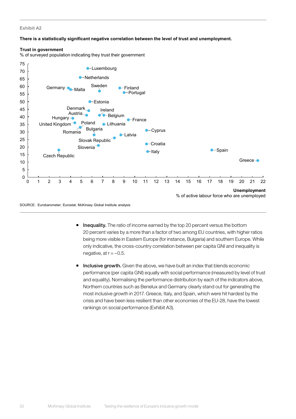#### **Exhibit A2**

#### **There is a statistically significant negative correlation between the level of trust and unemployment.**

#### **Trust in government**

% of surveyed population indicating they trust their government



- **Inequality.** The ratio of income earned by the top 20 percent versus the bottom 20 percent varies by a more than a factor of two among EU countries, with higher ratios being more visible in Eastern Europe (for instance, Bulgaria) and southern Europe. While only indicative, the cross-country correlation between per capita GNI and inequality is negative, at  $r = -0.5$ .
- **Inclusive growth.** Given the above, we have built an index that blends economic performance (per capita GNI) equally with social performance (measured by level of trust and equality). Normalising the performance distribution by each of the indicators above, Northern countries such as Benelux and Germany clearly stand out for generating the most inclusive growth in 2017. Greece, Italy, and Spain, which were hit hardest by the crisis and have been less resilient than other economies of the EU-28, have the lowest rankings on social performance (Exhibit A3).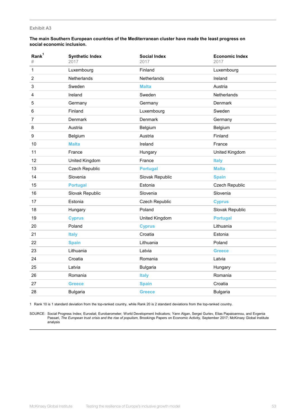# **Exhibit A3**

#### **The main Southern European countries of the Mediterranean cluster have made the least progress on social economic inclusion.**

| Rank <sup>1</sup><br># | <b>Synthetic Index</b><br>2017 | <b>Social Index</b><br>2017 | <b>Economic Index</b><br>2017 |
|------------------------|--------------------------------|-----------------------------|-------------------------------|
| $\mathbf{1}$           | Luxembourg                     | Finland                     | Luxembourg                    |
| $\sqrt{2}$             | <b>Netherlands</b>             | <b>Netherlands</b>          | Ireland                       |
| 3                      | Sweden                         | <b>Malta</b>                | Austria                       |
| 4                      | Ireland                        | Sweden                      | <b>Netherlands</b>            |
| 5                      | Germany                        | Germany                     | <b>Denmark</b>                |
| 6                      | Finland                        | Luxembourg                  | Sweden                        |
| $\overline{7}$         | Denmark                        | Denmark                     | Germany                       |
| 8                      | Austria                        | Belgium                     | Belgium                       |
| $\boldsymbol{9}$       | Belgium                        | Austria                     | Finland                       |
| 10                     | <b>Malta</b>                   | Ireland                     | France                        |
| 11                     | France                         | Hungary                     | United Kingdom                |
| 12                     | United Kingdom                 | France                      | <b>Italy</b>                  |
| 13                     | Czech Republic                 | <b>Portugal</b>             | <b>Malta</b>                  |
| 14                     | Slovenia                       | Slovak Republic             | <b>Spain</b>                  |
| 15                     | <b>Portugal</b>                | Estonia                     | Czech Republic                |
| 16                     | Slovak Republic                | Slovenia                    | Slovenia                      |
| 17                     | Estonia                        | Czech Republic              | <b>Cyprus</b>                 |
| 18                     | Hungary                        | Poland                      | Slovak Republic               |
| 19                     | <b>Cyprus</b>                  | United Kingdom              | <b>Portugal</b>               |
| 20                     | Poland                         | <b>Cyprus</b>               | Lithuania                     |
| 21                     | <b>Italy</b>                   | Croatia                     | Estonia                       |
| 22                     | <b>Spain</b>                   | Lithuania                   | Poland                        |
| 23                     | Lithuania                      | Latvia                      | <b>Greece</b>                 |
| 24                     | Croatia                        | Romania                     | Latvia                        |
| 25                     | Latvia                         | <b>Bulgaria</b>             | Hungary                       |
| 26                     | Romania                        | <b>Italy</b>                | Romania                       |
| 27                     | <b>Greece</b>                  | <b>Spain</b>                | Croatia                       |
| 28                     | <b>Bulgaria</b>                | <b>Greece</b>               | <b>Bulgaria</b>               |
|                        |                                |                             |                               |

Rank 10 is 1 standard deviation from the top-ranked country, while Rank 20 is 2 standard deviations from the top-ranked country.

SOURCE: Social Progress Index; Eurostat; Eurobarometer; World Development Indicators; Yann Algan, Sergei Guriev, Elias Papaioannou, and Evgenia Passari, *The European trust crisis and the rise of populism*, Brookings Papers on Economic Activity, September 2017; McKinsey Global Institute analysis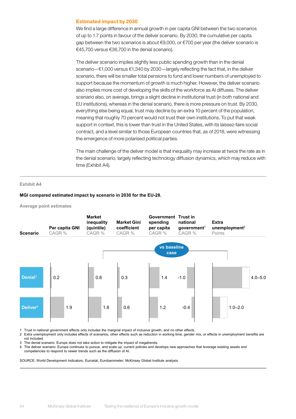# Estimated impact by 2030

We find a large difference in annual growth in per capita GNI between the two scenarios of up to 1.7 points in favour of the deliver scenario. By 2030, the cumulative per capita gap between the two scenarios is about €9,000, or €700 per year (the deliver scenario is €45,700 versus €36,700 in the denial scenario).

The deliver scenario implies slightly less public spending growth than in the denial scenario—€1,000 versus €1,340 by 2030—largely reflecting the fact that, in the deliver scenario, there will be smaller total pensions to fund and lower numbers of unemployed to support because the momentum of growth is much higher. However, the deliver scenario also implies more cost of developing the skills of the workforce as AI diffuses. The deliver scenario also, on average, brings a slight decline in institutional trust (in both national and EU institutions), whereas in the denial scenario, there is more pressure on trust. By 2030, everything else being equal, trust may decline by an extra 10 percent of the population, meaning that roughly 70 percent would not trust their own institutions. To put that weak support in context, this is lower than trust in the United States, with its laissez-faire social contract, and a level similar to those European countries that, as of 2018, were witnessing the emergence of more polarised political parties.

The main challenge of the deliver model is that inequality may increase at twice the rate as in the denial scenario, largely reflecting technology diffusion dynamics, which may reduce with time (Exhibit A4).

#### **Exhibit A4**

#### **MGI compared estimated impact by scenario in 2030 for the EU-28.**

**Average point estimates**



1 Trust in national government effects only includes the marginal impact of inclusive growth, and no other effects.

2 Extra unemployment only includes effects of scenarios; other effects such as reduction in working time, gender mix, or effects in unemployment benefits are not included.

3 The denial scenario: Europe does not take action to mitigate the impact of megatrends.

4 The deliver scenario: Europe continues to pursue, and scale up, current policies and develops new approaches that leverage existing assets and competencies to respond to newer trends such as the diffusion of AI.

SOURCE: World Development Indicators; Eurostat, Eurobarometer; McKinsey Global Institute analysis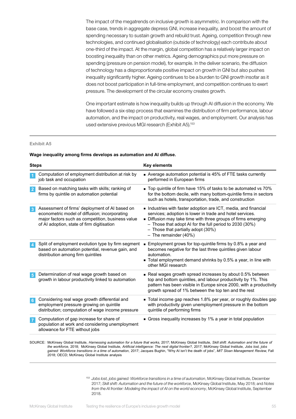The impact of the megatrends on inclusive growth is asymmetric. In comparison with the base case, trends in aggregate depress GNI, increase inequality, and boost the amount of spending necessary to sustain growth and rebuild trust. Ageing, competition through new technologies, and continued globalisation (outside of technology) each contribute about one-third of the impact. At the margin, global competition has a relatively larger impact on boosting inequality than on other metrics. Ageing demographics put more pressure on spending (pressure on pension model), for example. In the deliver scenario, the diffusion of technology has a disproportionate positive impact on growth in GNI but also pushes inequality significantly higher. Ageing continues to be a burden to GNI growth insofar as it does not boost participation in full-time employment, and competition continues to exert pressure. The development of the circular economy creates growth.

One important estimate is how inequality builds up through AI diffusion in the economy. We have followed a six-step process that examines the distribution of firm performance, labour automation, and the impact on productivity, real wages, and employment. Our analysis has used extensive previous MGI research (Exhibit A5).<sup>153</sup>

## **Exhibit A5**

#### **Wage inequality among firms develops as automation and AI diffuse.**

| <b>Steps</b>   |                                                                                                                                                                                                    | <b>Key elements</b>                                                                                                                                                                                                                                                                                                    |  |  |
|----------------|----------------------------------------------------------------------------------------------------------------------------------------------------------------------------------------------------|------------------------------------------------------------------------------------------------------------------------------------------------------------------------------------------------------------------------------------------------------------------------------------------------------------------------|--|--|
|                | Computation of employment distribution at risk by<br>job task and occupation                                                                                                                       | ■ Average automation potential is 45% of FTE tasks currently<br>performed in European firms                                                                                                                                                                                                                            |  |  |
| $\overline{2}$ | Based on matching tasks with skills; ranking of<br>firms by quintile on automation potential                                                                                                       | ■ Top quintile of firm have 15% of tasks to be automated vs 70%<br>for the bottom decile, with many bottom-quintile firms in sectors<br>such as hotels, transportation, trade, and construction                                                                                                                        |  |  |
| $\overline{3}$ | Assessment of firms' deployment of AI based on<br>econometric model of diffusion; incorporating<br>major factors such as competition, business value<br>of AI adoption, state of firm digitisation | Industries with faster adoption are ICT, media, and financial<br>services; adoption is lower in trade and hotel services.<br>• Diffusion may take time with three groups of firms emerging<br>- Those that adopt AI for the full period to 2030 (30%)<br>- Those that partially adopt (30%)<br>$-$ The remainder (40%) |  |  |
| $\overline{4}$ | Split of employment evolution type by firm segment<br>based on automation potential, revenue gain, and<br>distribution among firm quintiles                                                        | Employment grows for top-quintile firms by 0.8% a year and<br>becomes negative for the last three quintiles given labour<br>automation.<br>• Total employment demand shrinks by 0.5% a year, in line with<br>other MGI research                                                                                        |  |  |
| 5              | Determination of real wage growth based on<br>growth in labour productivity linked to automation                                                                                                   | ■ Real wages growth spread increases by about 0.5% between<br>top and bottom quintiles, and labour productivity by 1%. This<br>pattern has been visible in Europe since 2000, with a productivity<br>growth spread of 1% between the top ten and the rest                                                              |  |  |
| 6              | Considering real wage growth differential and<br>employment pressure growing on quintile<br>distribution; computation of wage income pressure                                                      | • Total income gap reaches 1.8% per year, or roughly doubles gap<br>with productivity given unemployment pressure in the bottom<br>quintile of performing firms                                                                                                                                                        |  |  |
| $\overline{7}$ | Computation of gap increase for share of<br>population at work and considering unemployment<br>allowance for FTE without jobs                                                                      | Gross inequality increases by 1% a year in total population                                                                                                                                                                                                                                                            |  |  |
|                |                                                                                                                                                                                                    |                                                                                                                                                                                                                                                                                                                        |  |  |

SOURCE: McKinsey Global Institute, *Harnessing automation for a future that works*, 2017; McKinsey Global Institute, *Skill shift: Automation and the future of the workforce*, 2018; McKinsey Global Institute, *Artificial intelligence: The next digital frontier?*, 2017; McKinsey Global Institute, *Jobs lost, jobs gained: Workforce transitions in a time of automation*, 2017; Jacques Bughin, "Why AI isn't the death of jobs", *MIT Sloan Management Review*, Fall 2018; OECD; McKinsey Global Institute analysis

> <sup>153</sup> *Jobs lost, jobs gained: Workforce transitions in a time of automation*, McKinsey Global Institute, December 2017; *Skill shift: Automation and the future of the workforce*, McKinsey Global Institute, May 2018; and *Notes from the AI frontier: Modeling the impact of AI on the world economy*, McKinsey Global Institute, September 2018.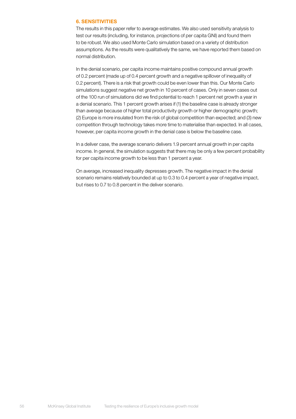## 6. SENSITIVITIES

The results in this paper refer to average estimates. We also used sensitivity analysis to test our results (including, for instance, projections of per capita GNI) and found them to be robust. We also used Monte Carlo simulation based on a variety of distribution assumptions. As the results were qualitatively the same, we have reported them based on normal distribution.

In the denial scenario, per capita income maintains positive compound annual growth of 0.2 percent (made up of 0.4 percent growth and a negative spillover of inequality of 0.2 percent). There is a risk that growth could be even lower than this. Our Monte Carlo simulations suggest negative net growth in 10 percent of cases. Only in seven cases out of the 100 run of simulations did we find potential to reach 1 percent net growth a year in a denial scenario. This 1 percent growth arises if (1) the baseline case is already stronger than average because of higher total productivity growth or higher demographic growth; (2) Europe is more insulated from the risk of global competition than expected; and (3) new competition through technology takes more time to materialise than expected. In all cases, however, per capita income growth in the denial case is below the baseline case.

In a deliver case, the average scenario delivers 1.9 percent annual growth in per capita income. In general, the simulation suggests that there may be only a few percent probability for per capita income growth to be less than 1 percent a year.

On average, increased inequality depresses growth. The negative impact in the denial scenario remains relatively bounded at up to 0.3 to 0.4 percent a year of negative impact, but rises to 0.7 to 0.8 percent in the deliver scenario.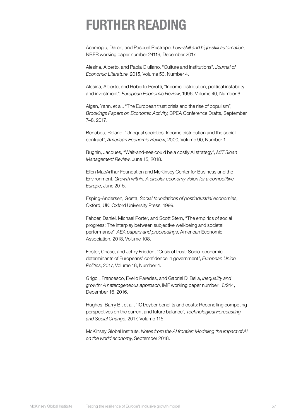# <span id="page-60-0"></span>FURTHER READING

Acemoglu, Daron, and Pascual Restrepo, *Low-skill and high-skill automation*, NBER working paper number 24119, December 2017.

Alesina, Alberto, and Paola Giuliano, "Culture and institutions", *Journal of Economic Literature*, 2015, Volume 53, Number 4.

Alesina, Alberto, and Roberto Perotti, "Income distribution, political instability and investment", *European Economic Review*, 1996, Volume 40, Number 6.

Algan, Yann, et al., "The European trust crisis and the rise of populism", *Brookings Papers on Economic Activity*, BPEA Conference Drafts, September 7–8, 2017.

Benabou, Roland, "Unequal societies: Income distribution and the social contract", *American Economic Review*, 2000, Volume 90, Number 1.

Bughin, Jacques, "Wait-and-see could be a costly AI strategy", *MIT Sloan Management Review*, June 15, 2018.

Ellen MacArthur Foundation and McKinsey Center for Business and the Environment, *Growth within: A circular economy vision for a competitive Europe*, June 2015.

Esping-Andersen, Gøsta, *Social foundations of postindustrial economies*, Oxford, UK: Oxford University Press, 1999.

Fehder, Daniel, Michael Porter, and Scott Stern, "The empirics of social progress: The interplay between subjective well-being and societal performance", *AEA papers and proceedings*, American Economic Association, 2018, Volume 108.

Foster, Chase, and Jeffry Frieden, "Crisis of trust: Socio-economic determinants of Europeans' confidence in government", *European Union Politics*, 2017, Volume 18, Number 4.

Grigoli, Francesco, Evelio Paredes, and Gabriel Di Bella, *Inequality and growth: A heterogeneous approach*, IMF working paper number 16/244, December 16, 2016.

Hughes, Barry B., et al., "ICT/cyber benefits and costs: Reconciling competing perspectives on the current and future balance", *Technological Forecasting and Social Change*, 2017, Volume 115.

McKinsey Global Institute, *Notes from the AI frontier: Modeling the impact of AI on the world economy*, September 2018.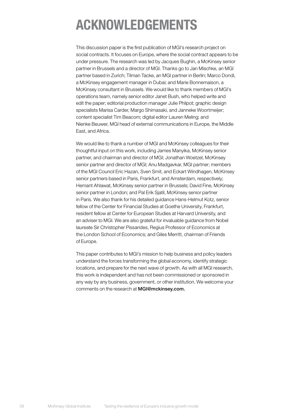# <span id="page-61-0"></span>ACKNOWLEDGEMENTS

This discussion paper is the first publication of MGI's research project on social contracts. It focuses on Europe, where the social contract appears to be under pressure. The research was led by Jacques Bughin, a McKinsey senior partner in Brussels and a director of MGI. Thanks go to Jan Mischke, an MGI partner based in Zurich; Tilman Tacke, an MGI partner in Berlin; Marco Dondi, a McKinsey engagement manager in Dubai; and Marie Bonnemaison, a McKinsey consultant in Brussels. We would like to thank members of MGI's operations team, namely senior editor Janet Bush, who helped write and edit the paper; editorial production manager Julie Philpot; graphic design specialists Marisa Carder, Margo Shimasaki, and Janneke Woortmeijer; content specialist Tim Beacom; digital editor Lauren Meling; and Nienke Beuwer, MGI head of external communications in Europe, the Middle East, and Africa.

We would like to thank a number of MGI and McKinsey colleagues for their thoughtful input on this work, including James Manyika, McKinsey senior partner, and chairman and director of MGI; Jonathan Woetzel, McKinsey senior partner and director of MGI; Anu Madgavkar, MGI partner; members of the MGI Council Eric Hazan, Sven Smit, and Eckart Windhagen, McKinsey senior partners based in Paris, Frankfurt, and Amsterdam, respectively; Hemant Ahlawat, McKinsey senior partner in Brussels; David Fine, McKinsey senior partner in London; and Pal Erik Sjatil, McKinsey senior partner in Paris. We also thank for his detailed guidance Hans-Helmut Kotz, senior fellow of the Center for Financial Studies at Goethe University, Frankfurt, resident fellow at Center for European Studies at Harvard University, and an adviser to MGI. We are also grateful for invaluable guidance from Nobel laureate Sir Christopher Pissarides, Regius Professor of Economics at the London School of Economics; and Giles Merritt, chairman of Friends of Europe.

This paper contributes to MGI's mission to help business and policy leaders understand the forces transforming the global economy, identify strategic locations, and prepare for the next wave of growth. As with all MGI research, this work is independent and has not been commissioned or sponsored in any way by any business, government, or other institution. We welcome your comments on the research at [MGI@mckinsey.com.](mailto:MGI%40mckinsey.com?subject=)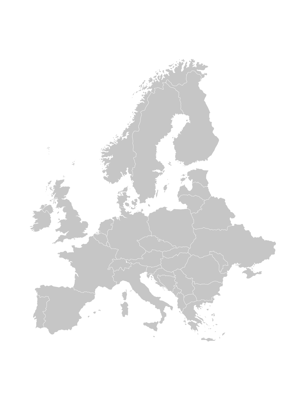